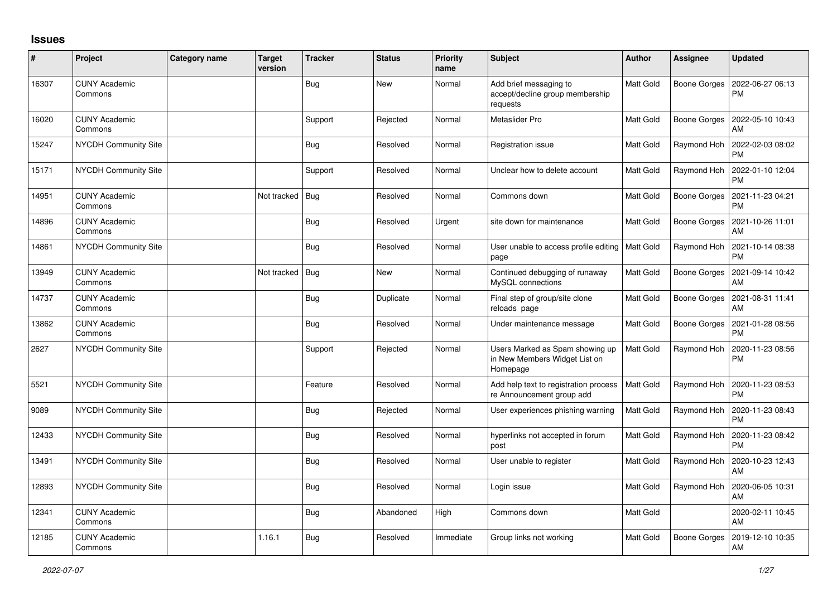## **Issues**

| #     | Project                         | <b>Category name</b> | <b>Target</b><br>version | <b>Tracker</b> | <b>Status</b> | <b>Priority</b><br>name | <b>Subject</b>                                                               | Author           | <b>Assignee</b>     | <b>Updated</b>                |
|-------|---------------------------------|----------------------|--------------------------|----------------|---------------|-------------------------|------------------------------------------------------------------------------|------------------|---------------------|-------------------------------|
| 16307 | <b>CUNY Academic</b><br>Commons |                      |                          | <b>Bug</b>     | <b>New</b>    | Normal                  | Add brief messaging to<br>accept/decline group membership<br>requests        | Matt Gold        | Boone Gorges        | 2022-06-27 06:13<br><b>PM</b> |
| 16020 | <b>CUNY Academic</b><br>Commons |                      |                          | Support        | Rejected      | Normal                  | Metaslider Pro                                                               | Matt Gold        | Boone Gorges        | 2022-05-10 10:43<br>AM        |
| 15247 | <b>NYCDH Community Site</b>     |                      |                          | <b>Bug</b>     | Resolved      | Normal                  | Registration issue                                                           | Matt Gold        | Raymond Hoh         | 2022-02-03 08:02<br><b>PM</b> |
| 15171 | <b>NYCDH Community Site</b>     |                      |                          | Support        | Resolved      | Normal                  | Unclear how to delete account                                                | <b>Matt Gold</b> | Raymond Hoh         | 2022-01-10 12:04<br><b>PM</b> |
| 14951 | <b>CUNY Academic</b><br>Commons |                      | Not tracked              | Bug            | Resolved      | Normal                  | Commons down                                                                 | Matt Gold        | Boone Gorges        | 2021-11-23 04:21<br><b>PM</b> |
| 14896 | <b>CUNY Academic</b><br>Commons |                      |                          | Bug            | Resolved      | Urgent                  | site down for maintenance                                                    | Matt Gold        | <b>Boone Gorges</b> | 2021-10-26 11:01<br>AM        |
| 14861 | <b>NYCDH Community Site</b>     |                      |                          | Bug            | Resolved      | Normal                  | User unable to access profile editing   Matt Gold<br>page                    |                  | Raymond Hoh         | 2021-10-14 08:38<br><b>PM</b> |
| 13949 | <b>CUNY Academic</b><br>Commons |                      | Not tracked              | Bug            | <b>New</b>    | Normal                  | Continued debugging of runaway<br>MySQL connections                          | <b>Matt Gold</b> | Boone Gorges        | 2021-09-14 10:42<br>AM        |
| 14737 | <b>CUNY Academic</b><br>Commons |                      |                          | <b>Bug</b>     | Duplicate     | Normal                  | Final step of group/site clone<br>reloads page                               | <b>Matt Gold</b> | Boone Gorges        | 2021-08-31 11:41<br>AM        |
| 13862 | <b>CUNY Academic</b><br>Commons |                      |                          | Bug            | Resolved      | Normal                  | Under maintenance message                                                    | Matt Gold        | Boone Gorges        | 2021-01-28 08:56<br><b>PM</b> |
| 2627  | NYCDH Community Site            |                      |                          | Support        | Rejected      | Normal                  | Users Marked as Spam showing up<br>in New Members Widget List on<br>Homepage | <b>Matt Gold</b> | Raymond Hoh         | 2020-11-23 08:56<br><b>PM</b> |
| 5521  | <b>NYCDH Community Site</b>     |                      |                          | Feature        | Resolved      | Normal                  | Add help text to registration process<br>re Announcement group add           | <b>Matt Gold</b> | Raymond Hoh         | 2020-11-23 08:53<br><b>PM</b> |
| 9089  | NYCDH Community Site            |                      |                          | <b>Bug</b>     | Rejected      | Normal                  | User experiences phishing warning                                            | Matt Gold        | Raymond Hoh         | 2020-11-23 08:43<br><b>PM</b> |
| 12433 | <b>NYCDH Community Site</b>     |                      |                          | <b>Bug</b>     | Resolved      | Normal                  | hyperlinks not accepted in forum<br>post                                     | Matt Gold        | Raymond Hoh         | 2020-11-23 08:42<br><b>PM</b> |
| 13491 | NYCDH Community Site            |                      |                          | <b>Bug</b>     | Resolved      | Normal                  | User unable to register                                                      | Matt Gold        | Raymond Hoh         | 2020-10-23 12:43<br>AM        |
| 12893 | <b>NYCDH Community Site</b>     |                      |                          | Bug            | Resolved      | Normal                  | Login issue                                                                  | Matt Gold        | Raymond Hoh         | 2020-06-05 10:31<br>AM        |
| 12341 | <b>CUNY Academic</b><br>Commons |                      |                          | Bug            | Abandoned     | High                    | Commons down                                                                 | Matt Gold        |                     | 2020-02-11 10:45<br>AM        |
| 12185 | <b>CUNY Academic</b><br>Commons |                      | 1.16.1                   | Bug            | Resolved      | Immediate               | Group links not working                                                      | Matt Gold        | <b>Boone Gorges</b> | 2019-12-10 10:35<br>AM        |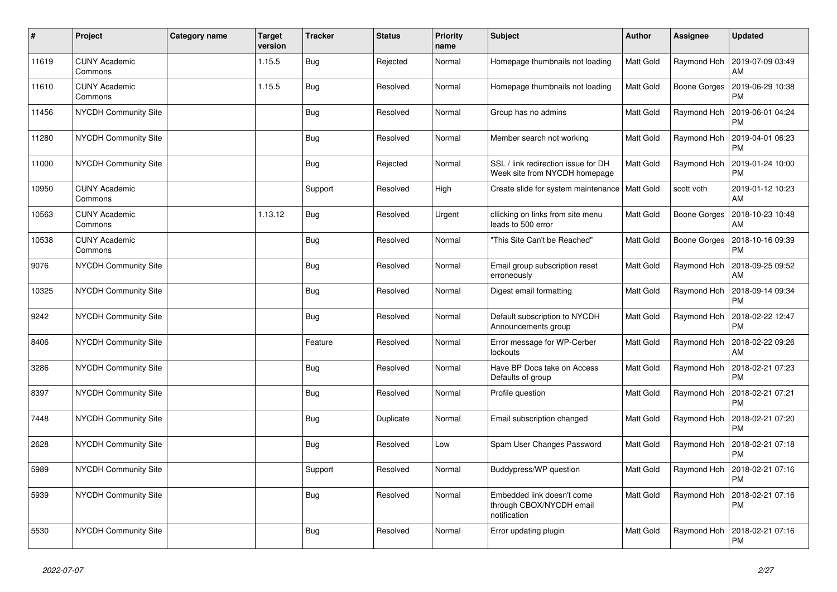| #     | Project                         | <b>Category name</b> | <b>Target</b><br>version | <b>Tracker</b> | <b>Status</b> | <b>Priority</b><br>name | <b>Subject</b>                                                         | Author           | <b>Assignee</b> | <b>Updated</b>                |
|-------|---------------------------------|----------------------|--------------------------|----------------|---------------|-------------------------|------------------------------------------------------------------------|------------------|-----------------|-------------------------------|
| 11619 | <b>CUNY Academic</b><br>Commons |                      | 1.15.5                   | <b>Bug</b>     | Rejected      | Normal                  | Homepage thumbnails not loading                                        | <b>Matt Gold</b> | Raymond Hoh     | 2019-07-09 03:49<br>AM        |
| 11610 | <b>CUNY Academic</b><br>Commons |                      | 1.15.5                   | Bug            | Resolved      | Normal                  | Homepage thumbnails not loading                                        | Matt Gold        | Boone Gorges    | 2019-06-29 10:38<br><b>PM</b> |
| 11456 | <b>NYCDH Community Site</b>     |                      |                          | Bug            | Resolved      | Normal                  | Group has no admins                                                    | <b>Matt Gold</b> | Raymond Hoh     | 2019-06-01 04:24<br><b>PM</b> |
| 11280 | NYCDH Community Site            |                      |                          | Bug            | Resolved      | Normal                  | Member search not working                                              | <b>Matt Gold</b> | Raymond Hoh     | 2019-04-01 06:23<br><b>PM</b> |
| 11000 | NYCDH Community Site            |                      |                          | <b>Bug</b>     | Rejected      | Normal                  | SSL / link redirection issue for DH<br>Week site from NYCDH homepage   | Matt Gold        | Raymond Hoh     | 2019-01-24 10:00<br><b>PM</b> |
| 10950 | <b>CUNY Academic</b><br>Commons |                      |                          | Support        | Resolved      | High                    | Create slide for system maintenance   Matt Gold                        |                  | scott voth      | 2019-01-12 10:23<br>AM        |
| 10563 | <b>CUNY Academic</b><br>Commons |                      | 1.13.12                  | Bug            | Resolved      | Urgent                  | cllicking on links from site menu<br>leads to 500 error                | <b>Matt Gold</b> | Boone Gorges    | 2018-10-23 10:48<br>AM        |
| 10538 | <b>CUNY Academic</b><br>Commons |                      |                          | <b>Bug</b>     | Resolved      | Normal                  | "This Site Can't be Reached"                                           | Matt Gold        | Boone Gorges    | 2018-10-16 09:39<br><b>PM</b> |
| 9076  | <b>NYCDH Community Site</b>     |                      |                          | Bug            | Resolved      | Normal                  | Email group subscription reset<br>erroneously                          | Matt Gold        | Raymond Hoh     | 2018-09-25 09:52<br>AM        |
| 10325 | NYCDH Community Site            |                      |                          | Bug            | Resolved      | Normal                  | Digest email formatting                                                | <b>Matt Gold</b> | Raymond Hoh     | 2018-09-14 09:34<br><b>PM</b> |
| 9242  | NYCDH Community Site            |                      |                          | <b>Bug</b>     | Resolved      | Normal                  | Default subscription to NYCDH<br>Announcements group                   | Matt Gold        | Raymond Hoh     | 2018-02-22 12:47<br><b>PM</b> |
| 8406  | NYCDH Community Site            |                      |                          | Feature        | Resolved      | Normal                  | Error message for WP-Cerber<br>lockouts                                | Matt Gold        | Raymond Hoh     | 2018-02-22 09:26<br>AM        |
| 3286  | NYCDH Community Site            |                      |                          | <b>Bug</b>     | Resolved      | Normal                  | Have BP Docs take on Access<br>Defaults of group                       | Matt Gold        | Raymond Hoh     | 2018-02-21 07:23<br><b>PM</b> |
| 8397  | NYCDH Community Site            |                      |                          | <b>Bug</b>     | Resolved      | Normal                  | Profile question                                                       | Matt Gold        | Raymond Hoh     | 2018-02-21 07:21<br><b>PM</b> |
| 7448  | NYCDH Community Site            |                      |                          | <b>Bug</b>     | Duplicate     | Normal                  | Email subscription changed                                             | <b>Matt Gold</b> | Raymond Hoh     | 2018-02-21 07:20<br><b>PM</b> |
| 2628  | NYCDH Community Site            |                      |                          | Bug            | Resolved      | Low                     | Spam User Changes Password                                             | Matt Gold        | Raymond Hoh     | 2018-02-21 07:18<br><b>PM</b> |
| 5989  | NYCDH Community Site            |                      |                          | Support        | Resolved      | Normal                  | Buddypress/WP question                                                 | Matt Gold        | Raymond Hoh     | 2018-02-21 07:16<br><b>PM</b> |
| 5939  | NYCDH Community Site            |                      |                          | <b>Bug</b>     | Resolved      | Normal                  | Embedded link doesn't come<br>through CBOX/NYCDH email<br>notification | Matt Gold        | Raymond Hoh     | 2018-02-21 07:16<br><b>PM</b> |
| 5530  | NYCDH Community Site            |                      |                          | <b>Bug</b>     | Resolved      | Normal                  | Error updating plugin                                                  | <b>Matt Gold</b> | Raymond Hoh     | 2018-02-21 07:16<br><b>PM</b> |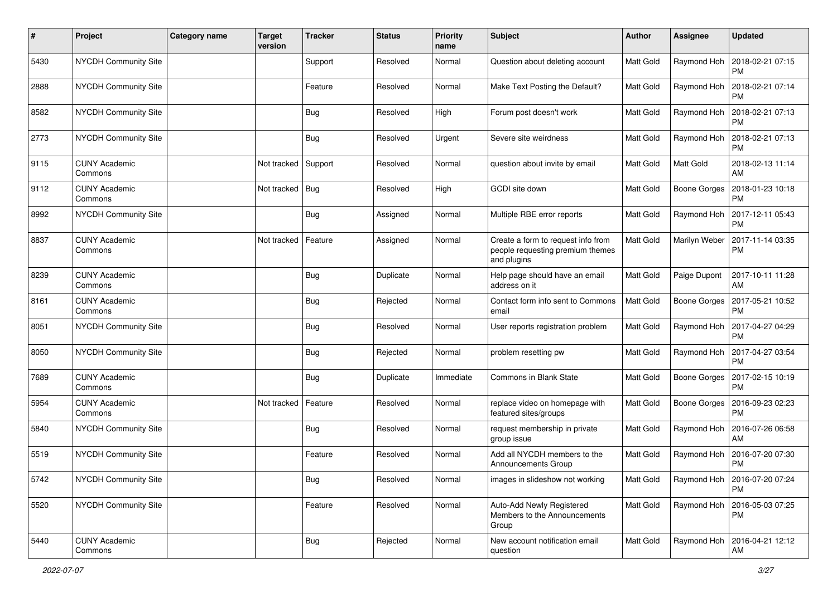| #    | Project                         | <b>Category name</b> | <b>Target</b><br>version | <b>Tracker</b> | <b>Status</b> | <b>Priority</b><br>name | Subject                                                                               | Author           | <b>Assignee</b>     | <b>Updated</b>                               |
|------|---------------------------------|----------------------|--------------------------|----------------|---------------|-------------------------|---------------------------------------------------------------------------------------|------------------|---------------------|----------------------------------------------|
| 5430 | <b>NYCDH Community Site</b>     |                      |                          | Support        | Resolved      | Normal                  | Question about deleting account                                                       | Matt Gold        | Raymond Hoh         | 2018-02-21 07:15<br>PM                       |
| 2888 | <b>NYCDH Community Site</b>     |                      |                          | Feature        | Resolved      | Normal                  | Make Text Posting the Default?                                                        | Matt Gold        | Raymond Hoh         | 2018-02-21 07:14<br><b>PM</b>                |
| 8582 | <b>NYCDH Community Site</b>     |                      |                          | <b>Bug</b>     | Resolved      | High                    | Forum post doesn't work                                                               | Matt Gold        | Raymond Hoh         | 2018-02-21 07:13<br>PM                       |
| 2773 | <b>NYCDH Community Site</b>     |                      |                          | Bug            | Resolved      | Urgent                  | Severe site weirdness                                                                 | <b>Matt Gold</b> | Raymond Hoh         | 2018-02-21 07:13<br><b>PM</b>                |
| 9115 | <b>CUNY Academic</b><br>Commons |                      | Not tracked              | Support        | Resolved      | Normal                  | question about invite by email                                                        | Matt Gold        | Matt Gold           | 2018-02-13 11:14<br>AM                       |
| 9112 | <b>CUNY Academic</b><br>Commons |                      | Not tracked              | Bug            | Resolved      | High                    | GCDI site down                                                                        | Matt Gold        |                     | Boone Gorges   2018-01-23 10:18<br><b>PM</b> |
| 8992 | <b>NYCDH Community Site</b>     |                      |                          | <b>Bug</b>     | Assigned      | Normal                  | Multiple RBE error reports                                                            | <b>Matt Gold</b> | Raymond Hoh         | 2017-12-11 05:43<br><b>PM</b>                |
| 8837 | <b>CUNY Academic</b><br>Commons |                      | Not tracked              | Feature        | Assigned      | Normal                  | Create a form to request info from<br>people requesting premium themes<br>and plugins | Matt Gold        | Marilyn Weber       | 2017-11-14 03:35<br><b>PM</b>                |
| 8239 | <b>CUNY Academic</b><br>Commons |                      |                          | Bug            | Duplicate     | Normal                  | Help page should have an email<br>address on it                                       | Matt Gold        | Paige Dupont        | 2017-10-11 11:28<br>AM                       |
| 8161 | <b>CUNY Academic</b><br>Commons |                      |                          | Bug            | Rejected      | Normal                  | Contact form info sent to Commons<br>email                                            | <b>Matt Gold</b> | Boone Gorges        | 2017-05-21 10:52<br><b>PM</b>                |
| 8051 | <b>NYCDH Community Site</b>     |                      |                          | Bug            | Resolved      | Normal                  | User reports registration problem                                                     | Matt Gold        | Raymond Hoh         | 2017-04-27 04:29<br><b>PM</b>                |
| 8050 | <b>NYCDH Community Site</b>     |                      |                          | Bug            | Rejected      | Normal                  | problem resetting pw                                                                  | <b>Matt Gold</b> | Raymond Hoh         | 2017-04-27 03:54<br><b>PM</b>                |
| 7689 | <b>CUNY Academic</b><br>Commons |                      |                          | Bug            | Duplicate     | Immediate               | <b>Commons in Blank State</b>                                                         | Matt Gold        | Boone Gorges        | 2017-02-15 10:19<br><b>PM</b>                |
| 5954 | <b>CUNY Academic</b><br>Commons |                      | Not tracked              | Feature        | Resolved      | Normal                  | replace video on homepage with<br>featured sites/groups                               | Matt Gold        | <b>Boone Gorges</b> | 2016-09-23 02:23<br><b>PM</b>                |
| 5840 | <b>NYCDH Community Site</b>     |                      |                          | Bug            | Resolved      | Normal                  | request membership in private<br>group issue                                          | Matt Gold        | Raymond Hoh         | 2016-07-26 06:58<br>AM                       |
| 5519 | <b>NYCDH Community Site</b>     |                      |                          | Feature        | Resolved      | Normal                  | Add all NYCDH members to the<br>Announcements Group                                   | Matt Gold        | Raymond Hoh         | 2016-07-20 07:30<br><b>PM</b>                |
| 5742 | NYCDH Community Site            |                      |                          | <b>Bug</b>     | Resolved      | Normal                  | images in slideshow not working                                                       | Matt Gold        |                     | Raymond Hoh   2016-07-20 07:24<br>PM         |
| 5520 | NYCDH Community Site            |                      |                          | Feature        | Resolved      | Normal                  | Auto-Add Newly Registered<br>Members to the Announcements<br>Group                    | Matt Gold        |                     | Raymond Hoh 2016-05-03 07:25<br><b>PM</b>    |
| 5440 | <b>CUNY Academic</b><br>Commons |                      |                          | <b>Bug</b>     | Rejected      | Normal                  | New account notification email<br>question                                            | Matt Gold        | Raymond Hoh         | 2016-04-21 12:12<br>AM                       |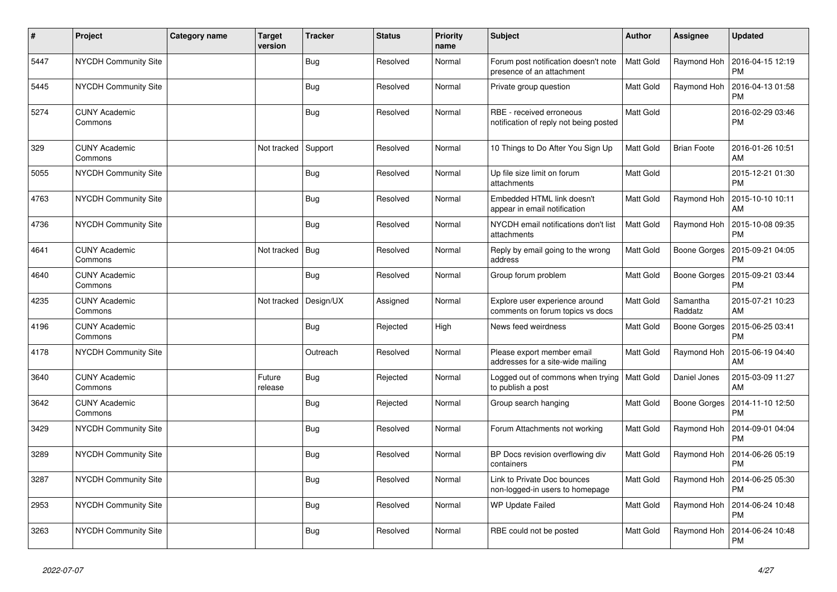| $\vert$ # | Project                         | Category name | <b>Target</b><br>version | <b>Tracker</b> | <b>Status</b> | <b>Priority</b><br>name | <b>Subject</b>                                                     | Author           | Assignee            | <b>Updated</b>                |
|-----------|---------------------------------|---------------|--------------------------|----------------|---------------|-------------------------|--------------------------------------------------------------------|------------------|---------------------|-------------------------------|
| 5447      | <b>NYCDH Community Site</b>     |               |                          | <b>Bug</b>     | Resolved      | Normal                  | Forum post notification doesn't note<br>presence of an attachment  | Matt Gold        | Raymond Hoh         | 2016-04-15 12:19<br><b>PM</b> |
| 5445      | <b>NYCDH Community Site</b>     |               |                          | <b>Bug</b>     | Resolved      | Normal                  | Private group question                                             | Matt Gold        | Raymond Hoh         | 2016-04-13 01:58<br>PM        |
| 5274      | <b>CUNY Academic</b><br>Commons |               |                          | Bug            | Resolved      | Normal                  | RBE - received erroneous<br>notification of reply not being posted | Matt Gold        |                     | 2016-02-29 03:46<br><b>PM</b> |
| 329       | <b>CUNY Academic</b><br>Commons |               | Not tracked              | Support        | Resolved      | Normal                  | 10 Things to Do After You Sign Up                                  | Matt Gold        | <b>Brian Foote</b>  | 2016-01-26 10:51<br>AM        |
| 5055      | <b>NYCDH Community Site</b>     |               |                          | Bug            | Resolved      | Normal                  | Up file size limit on forum<br>attachments                         | Matt Gold        |                     | 2015-12-21 01:30<br><b>PM</b> |
| 4763      | NYCDH Community Site            |               |                          | Bug            | Resolved      | Normal                  | Embedded HTML link doesn't<br>appear in email notification         | Matt Gold        | Raymond Hoh         | 2015-10-10 10:11<br>AM        |
| 4736      | NYCDH Community Site            |               |                          | <b>Bug</b>     | Resolved      | Normal                  | NYCDH email notifications don't list<br>attachments                | <b>Matt Gold</b> | Raymond Hoh         | 2015-10-08 09:35<br>PM        |
| 4641      | <b>CUNY Academic</b><br>Commons |               | Not tracked              | Bug            | Resolved      | Normal                  | Reply by email going to the wrong<br>address                       | Matt Gold        | Boone Gorges        | 2015-09-21 04:05<br><b>PM</b> |
| 4640      | <b>CUNY Academic</b><br>Commons |               |                          | Bug            | Resolved      | Normal                  | Group forum problem                                                | Matt Gold        | Boone Gorges        | 2015-09-21 03:44<br>PM        |
| 4235      | <b>CUNY Academic</b><br>Commons |               | Not tracked              | Design/UX      | Assigned      | Normal                  | Explore user experience around<br>comments on forum topics vs docs | Matt Gold        | Samantha<br>Raddatz | 2015-07-21 10:23<br>AM        |
| 4196      | <b>CUNY Academic</b><br>Commons |               |                          | <b>Bug</b>     | Rejected      | High                    | News feed weirdness                                                | Matt Gold        | Boone Gorges        | 2015-06-25 03:41<br><b>PM</b> |
| 4178      | <b>NYCDH Community Site</b>     |               |                          | Outreach       | Resolved      | Normal                  | Please export member email<br>addresses for a site-wide mailing    | Matt Gold        | Raymond Hoh         | 2015-06-19 04:40<br>AM        |
| 3640      | <b>CUNY Academic</b><br>Commons |               | Future<br>release        | <b>Bug</b>     | Rejected      | Normal                  | Logged out of commons when trying<br>to publish a post             | <b>Matt Gold</b> | Daniel Jones        | 2015-03-09 11:27<br>AM        |
| 3642      | <b>CUNY Academic</b><br>Commons |               |                          | Bug            | Rejected      | Normal                  | Group search hanging                                               | Matt Gold        | Boone Gorges        | 2014-11-10 12:50<br><b>PM</b> |
| 3429      | NYCDH Community Site            |               |                          | <b>Bug</b>     | Resolved      | Normal                  | Forum Attachments not working                                      | Matt Gold        | Raymond Hoh         | 2014-09-01 04:04<br><b>PM</b> |
| 3289      | <b>NYCDH Community Site</b>     |               |                          | Bug            | Resolved      | Normal                  | BP Docs revision overflowing div<br>containers                     | Matt Gold        | Raymond Hoh         | 2014-06-26 05:19<br>PM        |
| 3287      | <b>NYCDH Community Site</b>     |               |                          | Bug            | Resolved      | Normal                  | Link to Private Doc bounces<br>non-logged-in users to homepage     | Matt Gold        | Raymond Hoh         | 2014-06-25 05:30<br><b>PM</b> |
| 2953      | NYCDH Community Site            |               |                          | <b>Bug</b>     | Resolved      | Normal                  | <b>WP Update Failed</b>                                            | Matt Gold        | Raymond Hoh         | 2014-06-24 10:48<br><b>PM</b> |
| 3263      | <b>NYCDH Community Site</b>     |               |                          | <b>Bug</b>     | Resolved      | Normal                  | RBE could not be posted                                            | Matt Gold        | Raymond Hoh         | 2014-06-24 10:48<br><b>PM</b> |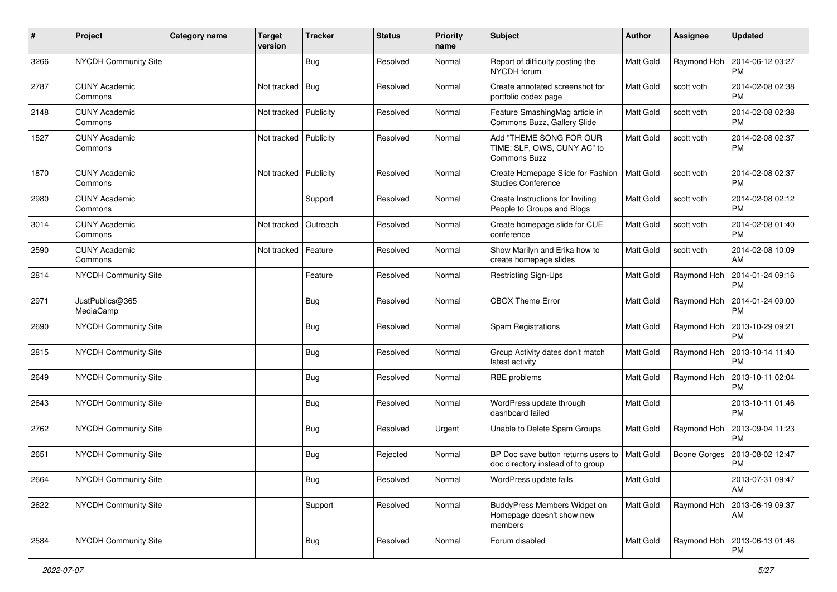| #    | Project                         | <b>Category name</b> | <b>Target</b><br>version | <b>Tracker</b> | <b>Status</b> | <b>Priority</b><br>name | <b>Subject</b>                                                                | Author           | <b>Assignee</b> | <b>Updated</b>                |
|------|---------------------------------|----------------------|--------------------------|----------------|---------------|-------------------------|-------------------------------------------------------------------------------|------------------|-----------------|-------------------------------|
| 3266 | NYCDH Community Site            |                      |                          | Bug            | Resolved      | Normal                  | Report of difficulty posting the<br>NYCDH forum                               | Matt Gold        | Raymond Hoh     | 2014-06-12 03:27<br><b>PM</b> |
| 2787 | <b>CUNY Academic</b><br>Commons |                      | Not tracked              | Bug            | Resolved      | Normal                  | Create annotated screenshot for<br>portfolio codex page                       | <b>Matt Gold</b> | scott voth      | 2014-02-08 02:38<br><b>PM</b> |
| 2148 | <b>CUNY Academic</b><br>Commons |                      | Not tracked              | Publicity      | Resolved      | Normal                  | Feature SmashingMag article in<br>Commons Buzz, Gallery Slide                 | Matt Gold        | scott voth      | 2014-02-08 02:38<br><b>PM</b> |
| 1527 | <b>CUNY Academic</b><br>Commons |                      | Not tracked              | Publicity      | Resolved      | Normal                  | Add "THEME SONG FOR OUR<br>TIME: SLF, OWS, CUNY AC" to<br><b>Commons Buzz</b> | <b>Matt Gold</b> | scott voth      | 2014-02-08 02:37<br><b>PM</b> |
| 1870 | <b>CUNY Academic</b><br>Commons |                      | Not tracked              | Publicity      | Resolved      | Normal                  | Create Homepage Slide for Fashion<br><b>Studies Conference</b>                | Matt Gold        | scott voth      | 2014-02-08 02:37<br><b>PM</b> |
| 2980 | <b>CUNY Academic</b><br>Commons |                      |                          | Support        | Resolved      | Normal                  | Create Instructions for Inviting<br>People to Groups and Blogs                | <b>Matt Gold</b> | scott voth      | 2014-02-08 02:12<br><b>PM</b> |
| 3014 | <b>CUNY Academic</b><br>Commons |                      | Not tracked              | Outreach       | Resolved      | Normal                  | Create homepage slide for CUE<br>conference                                   | Matt Gold        | scott voth      | 2014-02-08 01:40<br><b>PM</b> |
| 2590 | <b>CUNY Academic</b><br>Commons |                      | Not tracked              | Feature        | Resolved      | Normal                  | Show Marilyn and Erika how to<br>create homepage slides                       | <b>Matt Gold</b> | scott voth      | 2014-02-08 10:09<br>AM        |
| 2814 | NYCDH Community Site            |                      |                          | Feature        | Resolved      | Normal                  | Restricting Sign-Ups                                                          | <b>Matt Gold</b> | Raymond Hoh     | 2014-01-24 09:16<br><b>PM</b> |
| 2971 | JustPublics@365<br>MediaCamp    |                      |                          | <b>Bug</b>     | Resolved      | Normal                  | <b>CBOX Theme Error</b>                                                       | <b>Matt Gold</b> | Raymond Hoh     | 2014-01-24 09:00<br><b>PM</b> |
| 2690 | NYCDH Community Site            |                      |                          | <b>Bug</b>     | Resolved      | Normal                  | Spam Registrations                                                            | Matt Gold        | Raymond Hoh     | 2013-10-29 09:21<br><b>PM</b> |
| 2815 | NYCDH Community Site            |                      |                          | Bug            | Resolved      | Normal                  | Group Activity dates don't match<br>latest activity                           | <b>Matt Gold</b> | Raymond Hoh     | 2013-10-14 11:40<br><b>PM</b> |
| 2649 | NYCDH Community Site            |                      |                          | <b>Bug</b>     | Resolved      | Normal                  | RBE problems                                                                  | Matt Gold        | Raymond Hoh     | 2013-10-11 02:04<br><b>PM</b> |
| 2643 | NYCDH Community Site            |                      |                          | <b>Bug</b>     | Resolved      | Normal                  | WordPress update through<br>dashboard failed                                  | <b>Matt Gold</b> |                 | 2013-10-11 01:46<br><b>PM</b> |
| 2762 | NYCDH Community Site            |                      |                          | Bug            | Resolved      | Urgent                  | Unable to Delete Spam Groups                                                  | <b>Matt Gold</b> | Raymond Hoh     | 2013-09-04 11:23<br><b>PM</b> |
| 2651 | NYCDH Community Site            |                      |                          | <b>Bug</b>     | Rejected      | Normal                  | BP Doc save button returns users to<br>doc directory instead of to group      | Matt Gold        | Boone Gorges    | 2013-08-02 12:47<br><b>PM</b> |
| 2664 | NYCDH Community Site            |                      |                          | Bug            | Resolved      | Normal                  | WordPress update fails                                                        | Matt Gold        |                 | 2013-07-31 09:47<br>AM        |
| 2622 | NYCDH Community Site            |                      |                          | Support        | Resolved      | Normal                  | BuddyPress Members Widget on<br>Homepage doesn't show new<br>members          | Matt Gold        | Raymond Hoh     | 2013-06-19 09:37<br>AM        |
| 2584 | NYCDH Community Site            |                      |                          | <b>Bug</b>     | Resolved      | Normal                  | Forum disabled                                                                | Matt Gold        | Raymond Hoh     | 2013-06-13 01:46<br>PM        |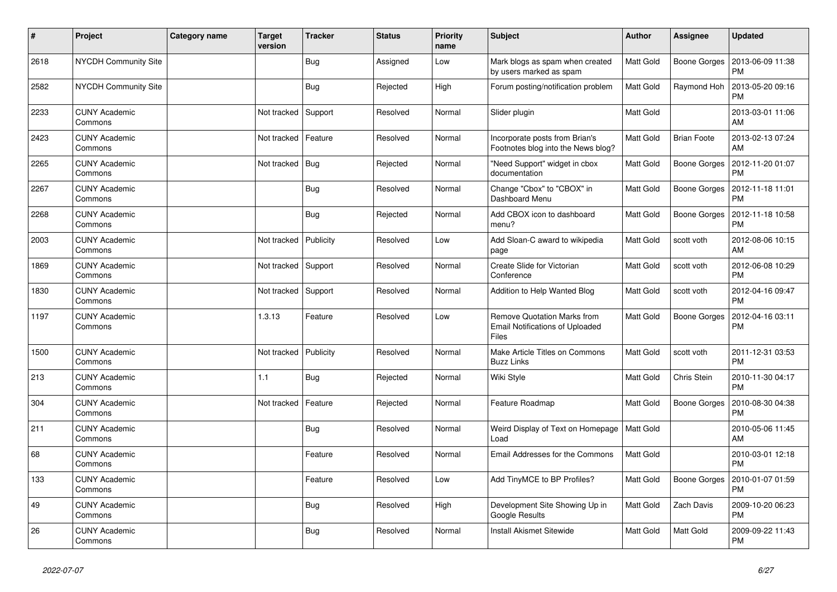| $\pmb{\#}$ | Project                         | Category name | <b>Target</b><br>version | Tracker    | <b>Status</b> | <b>Priority</b><br>name | <b>Subject</b>                                                                        | <b>Author</b>    | <b>Assignee</b>    | <b>Updated</b>                |
|------------|---------------------------------|---------------|--------------------------|------------|---------------|-------------------------|---------------------------------------------------------------------------------------|------------------|--------------------|-------------------------------|
| 2618       | <b>NYCDH Community Site</b>     |               |                          | Bug        | Assigned      | Low                     | Mark blogs as spam when created<br>by users marked as spam                            | <b>Matt Gold</b> | Boone Gorges       | 2013-06-09 11:38<br>PM        |
| 2582       | NYCDH Community Site            |               |                          | Bug        | Rejected      | High                    | Forum posting/notification problem                                                    | <b>Matt Gold</b> | Raymond Hoh        | 2013-05-20 09:16<br><b>PM</b> |
| 2233       | <b>CUNY Academic</b><br>Commons |               | Not tracked              | Support    | Resolved      | Normal                  | Slider plugin                                                                         | Matt Gold        |                    | 2013-03-01 11:06<br>AM        |
| 2423       | <b>CUNY Academic</b><br>Commons |               | Not tracked   Feature    |            | Resolved      | Normal                  | Incorporate posts from Brian's<br>Footnotes blog into the News blog?                  | Matt Gold        | <b>Brian Foote</b> | 2013-02-13 07:24<br>AM        |
| 2265       | <b>CUNY Academic</b><br>Commons |               | Not tracked              | <b>Bug</b> | Rejected      | Normal                  | "Need Support" widget in cbox<br>documentation                                        | Matt Gold        | Boone Gorges       | 2012-11-20 01:07<br><b>PM</b> |
| 2267       | <b>CUNY Academic</b><br>Commons |               |                          | Bug        | Resolved      | Normal                  | Change "Cbox" to "CBOX" in<br>Dashboard Menu                                          | Matt Gold        | Boone Gorges       | 2012-11-18 11:01<br><b>PM</b> |
| 2268       | <b>CUNY Academic</b><br>Commons |               |                          | <b>Bug</b> | Rejected      | Normal                  | Add CBOX icon to dashboard<br>menu?                                                   | Matt Gold        | Boone Gorges       | 2012-11-18 10:58<br><b>PM</b> |
| 2003       | <b>CUNY Academic</b><br>Commons |               | Not tracked              | Publicity  | Resolved      | Low                     | Add Sloan-C award to wikipedia<br>page                                                | Matt Gold        | scott voth         | 2012-08-06 10:15<br>AM        |
| 1869       | <b>CUNY Academic</b><br>Commons |               | Not tracked              | Support    | Resolved      | Normal                  | Create Slide for Victorian<br>Conference                                              | Matt Gold        | scott voth         | 2012-06-08 10:29<br><b>PM</b> |
| 1830       | <b>CUNY Academic</b><br>Commons |               | Not tracked   Support    |            | Resolved      | Normal                  | Addition to Help Wanted Blog                                                          | Matt Gold        | scott voth         | 2012-04-16 09:47<br><b>PM</b> |
| 1197       | <b>CUNY Academic</b><br>Commons |               | 1.3.13                   | Feature    | Resolved      | Low                     | <b>Remove Quotation Marks from</b><br><b>Email Notifications of Uploaded</b><br>Files | Matt Gold        | Boone Gorges       | 2012-04-16 03:11<br>PM        |
| 1500       | <b>CUNY Academic</b><br>Commons |               | Not tracked              | Publicity  | Resolved      | Normal                  | Make Article Titles on Commons<br><b>Buzz Links</b>                                   | Matt Gold        | scott voth         | 2011-12-31 03:53<br><b>PM</b> |
| 213        | <b>CUNY Academic</b><br>Commons |               | 1.1                      | <b>Bug</b> | Rejected      | Normal                  | Wiki Style                                                                            | <b>Matt Gold</b> | Chris Stein        | 2010-11-30 04:17<br><b>PM</b> |
| 304        | <b>CUNY Academic</b><br>Commons |               | Not tracked              | Feature    | Rejected      | Normal                  | Feature Roadmap                                                                       | Matt Gold        | Boone Gorges       | 2010-08-30 04:38<br><b>PM</b> |
| 211        | <b>CUNY Academic</b><br>Commons |               |                          | Bug        | Resolved      | Normal                  | Weird Display of Text on Homepage<br>Load                                             | Matt Gold        |                    | 2010-05-06 11:45<br>AM        |
| 68         | <b>CUNY Academic</b><br>Commons |               |                          | Feature    | Resolved      | Normal                  | <b>Email Addresses for the Commons</b>                                                | Matt Gold        |                    | 2010-03-01 12:18<br><b>PM</b> |
| 133        | <b>CUNY Academic</b><br>Commons |               |                          | Feature    | Resolved      | Low                     | Add TinyMCE to BP Profiles?                                                           | Matt Gold        | Boone Gorges       | 2010-01-07 01:59<br><b>PM</b> |
| 49         | <b>CUNY Academic</b><br>Commons |               |                          | Bug        | Resolved      | High                    | Development Site Showing Up in<br>Google Results                                      | Matt Gold        | Zach Davis         | 2009-10-20 06:23<br><b>PM</b> |
| 26         | <b>CUNY Academic</b><br>Commons |               |                          | Bug        | Resolved      | Normal                  | Install Akismet Sitewide                                                              | <b>Matt Gold</b> | Matt Gold          | 2009-09-22 11:43<br><b>PM</b> |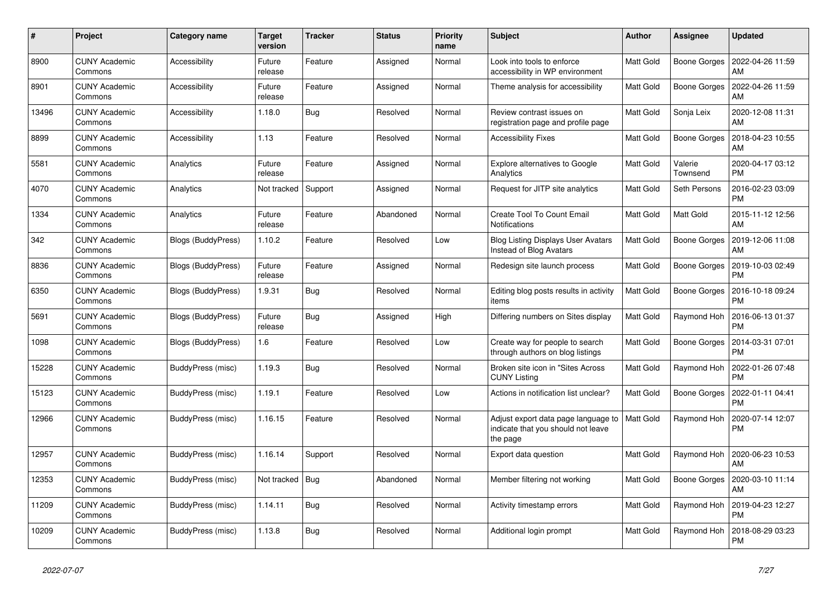| #     | Project                         | Category name      | <b>Target</b><br>version | <b>Tracker</b> | <b>Status</b> | <b>Priority</b><br>name | <b>Subject</b>                                                                        | <b>Author</b>    | Assignee            | <b>Updated</b>         |
|-------|---------------------------------|--------------------|--------------------------|----------------|---------------|-------------------------|---------------------------------------------------------------------------------------|------------------|---------------------|------------------------|
| 8900  | <b>CUNY Academic</b><br>Commons | Accessibility      | Future<br>release        | Feature        | Assigned      | Normal                  | Look into tools to enforce<br>accessibility in WP environment                         | Matt Gold        | Boone Gorges        | 2022-04-26 11:59<br>AM |
| 8901  | <b>CUNY Academic</b><br>Commons | Accessibility      | Future<br>release        | Feature        | Assigned      | Normal                  | Theme analysis for accessibility                                                      | Matt Gold        | Boone Gorges        | 2022-04-26 11:59<br>AM |
| 13496 | CUNY Academic<br>Commons        | Accessibility      | 1.18.0                   | Bug            | Resolved      | Normal                  | Review contrast issues on<br>registration page and profile page                       | Matt Gold        | Sonja Leix          | 2020-12-08 11:31<br>AM |
| 8899  | <b>CUNY Academic</b><br>Commons | Accessibility      | 1.13                     | Feature        | Resolved      | Normal                  | <b>Accessibility Fixes</b>                                                            | Matt Gold        | Boone Gorges        | 2018-04-23 10:55<br>AM |
| 5581  | <b>CUNY Academic</b><br>Commons | Analytics          | Future<br>release        | Feature        | Assigned      | Normal                  | Explore alternatives to Google<br>Analytics                                           | Matt Gold        | Valerie<br>Townsend | 2020-04-17 03:12<br>РM |
| 4070  | <b>CUNY Academic</b><br>Commons | Analytics          | Not tracked              | Support        | Assigned      | Normal                  | Request for JITP site analytics                                                       | Matt Gold        | Seth Persons        | 2016-02-23 03:09<br>PM |
| 1334  | <b>CUNY Academic</b><br>Commons | Analytics          | Future<br>release        | Feature        | Abandoned     | Normal                  | <b>Create Tool To Count Email</b><br>Notifications                                    | Matt Gold        | Matt Gold           | 2015-11-12 12:56<br>AM |
| 342   | <b>CUNY Academic</b><br>Commons | Blogs (BuddyPress) | 1.10.2                   | Feature        | Resolved      | Low                     | <b>Blog Listing Displays User Avatars</b><br>Instead of Blog Avatars                  | Matt Gold        | Boone Gorges        | 2019-12-06 11:08<br>AM |
| 8836  | CUNY Academic<br>Commons        | Blogs (BuddyPress) | Future<br>release        | Feature        | Assigned      | Normal                  | Redesign site launch process                                                          | Matt Gold        | Boone Gorges        | 2019-10-03 02:49<br>PM |
| 6350  | <b>CUNY Academic</b><br>Commons | Blogs (BuddyPress) | 1.9.31                   | Bug            | Resolved      | Normal                  | Editing blog posts results in activity<br>items                                       | Matt Gold        | Boone Gorges        | 2016-10-18 09:24<br>PM |
| 5691  | <b>CUNY Academic</b><br>Commons | Blogs (BuddyPress) | Future<br>release        | Bug            | Assigned      | High                    | Differing numbers on Sites display                                                    | Matt Gold        | Raymond Hoh         | 2016-06-13 01:37<br>РM |
| 1098  | <b>CUNY Academic</b><br>Commons | Blogs (BuddyPress) | 1.6                      | Feature        | Resolved      | Low                     | Create way for people to search<br>through authors on blog listings                   | Matt Gold        | Boone Gorges        | 2014-03-31 07:01<br>PM |
| 15228 | <b>CUNY Academic</b><br>Commons | BuddyPress (misc)  | 1.19.3                   | Bug            | Resolved      | Normal                  | Broken site icon in "Sites Across<br><b>CUNY Listing</b>                              | Matt Gold        | Raymond Hoh         | 2022-01-26 07:48<br>PM |
| 15123 | <b>CUNY Academic</b><br>Commons | BuddyPress (misc)  | 1.19.1                   | Feature        | Resolved      | Low                     | Actions in notification list unclear?                                                 | Matt Gold        | Boone Gorges        | 2022-01-11 04:41<br>PM |
| 12966 | <b>CUNY Academic</b><br>Commons | BuddyPress (misc)  | 1.16.15                  | Feature        | Resolved      | Normal                  | Adjust export data page language to<br>indicate that you should not leave<br>the page | <b>Matt Gold</b> | Raymond Hoh         | 2020-07-14 12:07<br>PM |
| 12957 | <b>CUNY Academic</b><br>Commons | BuddyPress (misc)  | 1.16.14                  | Support        | Resolved      | Normal                  | Export data question                                                                  | Matt Gold        | Raymond Hoh         | 2020-06-23 10:53<br>AM |
| 12353 | <b>CUNY Academic</b><br>Commons | BuddyPress (misc)  | Not tracked              | <b>Bug</b>     | Abandoned     | Normal                  | Member filtering not working                                                          | Matt Gold        | Boone Gorges        | 2020-03-10 11:14<br>AM |
| 11209 | <b>CUNY Academic</b><br>Commons | BuddyPress (misc)  | 1.14.11                  | <b>Bug</b>     | Resolved      | Normal                  | Activity timestamp errors                                                             | Matt Gold        | Raymond Hoh         | 2019-04-23 12:27<br>PM |
| 10209 | <b>CUNY Academic</b><br>Commons | BuddyPress (misc)  | 1.13.8                   | Bug            | Resolved      | Normal                  | Additional login prompt                                                               | Matt Gold        | Raymond Hoh         | 2018-08-29 03:23<br>PM |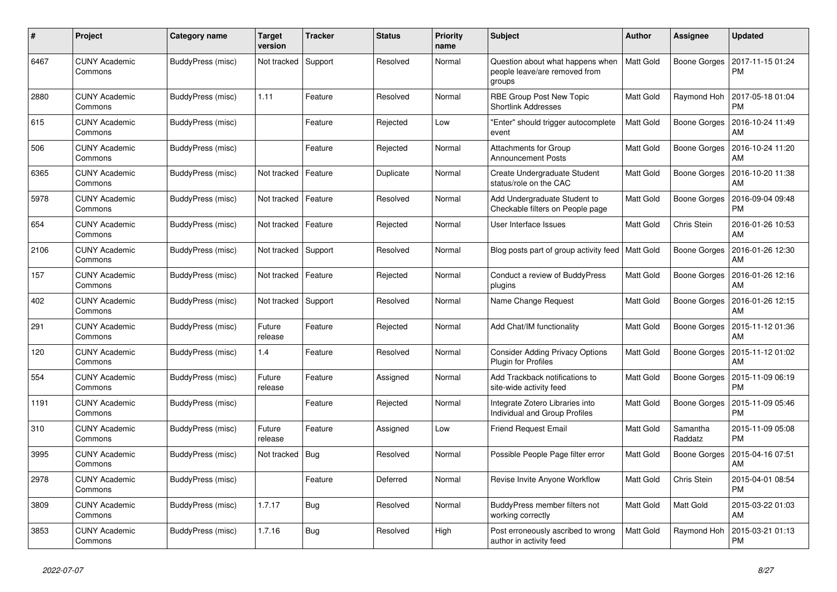| #    | Project                         | Category name     | <b>Target</b><br>version | <b>Tracker</b> | <b>Status</b> | <b>Priority</b><br>name | <b>Subject</b>                                                              | <b>Author</b>    | <b>Assignee</b>     | <b>Updated</b>                |
|------|---------------------------------|-------------------|--------------------------|----------------|---------------|-------------------------|-----------------------------------------------------------------------------|------------------|---------------------|-------------------------------|
| 6467 | <b>CUNY Academic</b><br>Commons | BuddyPress (misc) | Not tracked              | Support        | Resolved      | Normal                  | Question about what happens when<br>people leave/are removed from<br>groups | <b>Matt Gold</b> | Boone Gorges        | 2017-11-15 01:24<br>PM        |
| 2880 | <b>CUNY Academic</b><br>Commons | BuddyPress (misc) | 1.11                     | Feature        | Resolved      | Normal                  | RBE Group Post New Topic<br><b>Shortlink Addresses</b>                      | Matt Gold        | Raymond Hoh         | 2017-05-18 01:04<br>PM        |
| 615  | <b>CUNY Academic</b><br>Commons | BuddyPress (misc) |                          | Feature        | Rejected      | Low                     | "Enter" should trigger autocomplete<br>event                                | Matt Gold        | Boone Gorges        | 2016-10-24 11:49<br>AM        |
| 506  | <b>CUNY Academic</b><br>Commons | BuddyPress (misc) |                          | Feature        | Rejected      | Normal                  | <b>Attachments for Group</b><br><b>Announcement Posts</b>                   | Matt Gold        | Boone Gorges        | 2016-10-24 11:20<br>AM        |
| 6365 | <b>CUNY Academic</b><br>Commons | BuddyPress (misc) | Not tracked              | Feature        | Duplicate     | Normal                  | Create Undergraduate Student<br>status/role on the CAC                      | Matt Gold        | Boone Gorges        | 2016-10-20 11:38<br>AM        |
| 5978 | CUNY Academic<br>Commons        | BuddyPress (misc) | Not tracked              | Feature        | Resolved      | Normal                  | Add Undergraduate Student to<br>Checkable filters on People page            | Matt Gold        | Boone Gorges        | 2016-09-04 09:48<br><b>PM</b> |
| 654  | <b>CUNY Academic</b><br>Commons | BuddyPress (misc) | Not tracked              | Feature        | Rejected      | Normal                  | User Interface Issues                                                       | Matt Gold        | Chris Stein         | 2016-01-26 10:53<br>AM        |
| 2106 | <b>CUNY Academic</b><br>Commons | BuddyPress (misc) | Not tracked              | Support        | Resolved      | Normal                  | Blog posts part of group activity feed                                      | Matt Gold        | Boone Gorges        | 2016-01-26 12:30<br>AM        |
| 157  | <b>CUNY Academic</b><br>Commons | BuddyPress (misc) | Not tracked              | Feature        | Rejected      | Normal                  | Conduct a review of BuddyPress<br>plugins                                   | Matt Gold        | Boone Gorges        | 2016-01-26 12:16<br>AM        |
| 402  | <b>CUNY Academic</b><br>Commons | BuddyPress (misc) | Not tracked              | Support        | Resolved      | Normal                  | Name Change Request                                                         | Matt Gold        | Boone Gorges        | 2016-01-26 12:15<br>AM        |
| 291  | <b>CUNY Academic</b><br>Commons | BuddyPress (misc) | Future<br>release        | Feature        | Rejected      | Normal                  | Add Chat/IM functionality                                                   | Matt Gold        | Boone Gorges        | 2015-11-12 01:36<br>AM        |
| 120  | <b>CUNY Academic</b><br>Commons | BuddyPress (misc) | 1.4                      | Feature        | Resolved      | Normal                  | <b>Consider Adding Privacy Options</b><br><b>Plugin for Profiles</b>        | Matt Gold        | Boone Gorges        | 2015-11-12 01:02<br>AM        |
| 554  | <b>CUNY Academic</b><br>Commons | BuddyPress (misc) | Future<br>release        | Feature        | Assigned      | Normal                  | Add Trackback notifications to<br>site-wide activity feed                   | Matt Gold        | Boone Gorges        | 2015-11-09 06:19<br><b>PM</b> |
| 1191 | <b>CUNY Academic</b><br>Commons | BuddyPress (misc) |                          | Feature        | Rejected      | Normal                  | Integrate Zotero Libraries into<br>Individual and Group Profiles            | Matt Gold        | Boone Gorges        | 2015-11-09 05:46<br>PM        |
| 310  | <b>CUNY Academic</b><br>Commons | BuddyPress (misc) | Future<br>release        | Feature        | Assigned      | Low                     | <b>Friend Request Email</b>                                                 | Matt Gold        | Samantha<br>Raddatz | 2015-11-09 05:08<br>PM        |
| 3995 | <b>CUNY Academic</b><br>Commons | BuddyPress (misc) | Not tracked              | Bug            | Resolved      | Normal                  | Possible People Page filter error                                           | Matt Gold        | Boone Gorges        | 2015-04-16 07:51<br>AM        |
| 2978 | <b>CUNY Academic</b><br>Commons | BuddyPress (misc) |                          | Feature        | Deferred      | Normal                  | Revise Invite Anyone Workflow                                               | Matt Gold        | Chris Stein         | 2015-04-01 08:54<br>PM        |
| 3809 | <b>CUNY Academic</b><br>Commons | BuddyPress (misc) | 1.7.17                   | Bug            | Resolved      | Normal                  | BuddyPress member filters not<br>working correctly                          | Matt Gold        | Matt Gold           | 2015-03-22 01:03<br>AM        |
| 3853 | <b>CUNY Academic</b><br>Commons | BuddyPress (misc) | 1.7.16                   | Bug            | Resolved      | High                    | Post erroneously ascribed to wrong<br>author in activity feed               | Matt Gold        | Raymond Hoh         | 2015-03-21 01:13<br>PM        |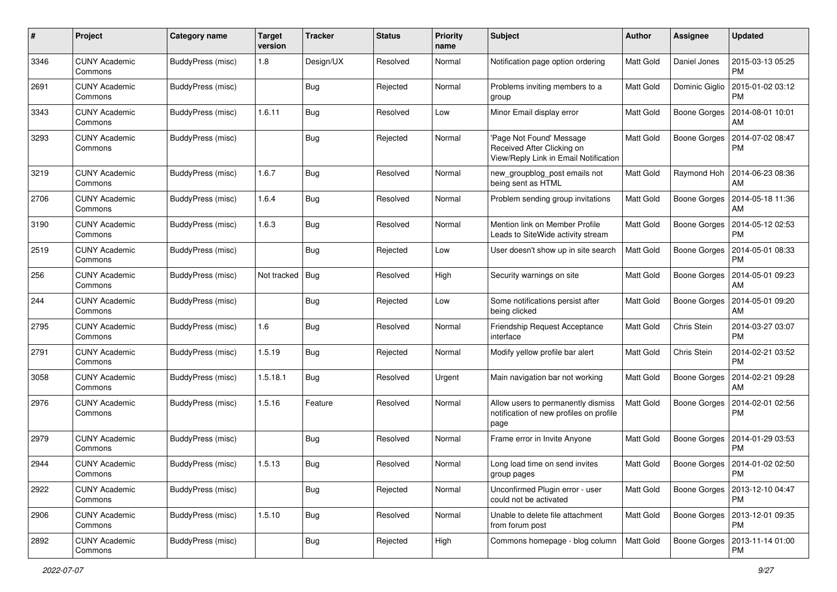| #    | Project                         | <b>Category name</b>     | <b>Target</b><br>version | <b>Tracker</b> | <b>Status</b> | <b>Priority</b><br>name | <b>Subject</b>                                                                                 | Author           | Assignee            | <b>Updated</b>                               |
|------|---------------------------------|--------------------------|--------------------------|----------------|---------------|-------------------------|------------------------------------------------------------------------------------------------|------------------|---------------------|----------------------------------------------|
| 3346 | <b>CUNY Academic</b><br>Commons | <b>BuddyPress (misc)</b> | 1.8                      | Design/UX      | Resolved      | Normal                  | Notification page option ordering                                                              | Matt Gold        | Daniel Jones        | 2015-03-13 05:25<br><b>PM</b>                |
| 2691 | <b>CUNY Academic</b><br>Commons | BuddyPress (misc)        |                          | <b>Bug</b>     | Rejected      | Normal                  | Problems inviting members to a<br>group                                                        | Matt Gold        | Dominic Giglio      | 2015-01-02 03:12<br><b>PM</b>                |
| 3343 | <b>CUNY Academic</b><br>Commons | BuddyPress (misc)        | 1.6.11                   | <b>Bug</b>     | Resolved      | Low                     | Minor Email display error                                                                      | <b>Matt Gold</b> | <b>Boone Gorges</b> | 2014-08-01 10:01<br>AM                       |
| 3293 | <b>CUNY Academic</b><br>Commons | <b>BuddyPress</b> (misc) |                          | <b>Bug</b>     | Rejected      | Normal                  | Page Not Found' Message<br>Received After Clicking on<br>View/Reply Link in Email Notification | <b>Matt Gold</b> | <b>Boone Gorges</b> | 2014-07-02 08:47<br><b>PM</b>                |
| 3219 | <b>CUNY Academic</b><br>Commons | BuddyPress (misc)        | 1.6.7                    | <b>Bug</b>     | Resolved      | Normal                  | new_groupblog_post emails not<br>being sent as HTML                                            | <b>Matt Gold</b> | Raymond Hoh         | 2014-06-23 08:36<br>AM                       |
| 2706 | <b>CUNY Academic</b><br>Commons | BuddyPress (misc)        | 1.6.4                    | <b>Bug</b>     | Resolved      | Normal                  | Problem sending group invitations                                                              | <b>Matt Gold</b> | Boone Gorges        | 2014-05-18 11:36<br>AM                       |
| 3190 | <b>CUNY Academic</b><br>Commons | BuddyPress (misc)        | 1.6.3                    | <b>Bug</b>     | Resolved      | Normal                  | Mention link on Member Profile<br>Leads to SiteWide activity stream                            | Matt Gold        | Boone Gorges        | 2014-05-12 02:53<br><b>PM</b>                |
| 2519 | <b>CUNY Academic</b><br>Commons | BuddyPress (misc)        |                          | <b>Bug</b>     | Rejected      | Low                     | User doesn't show up in site search                                                            | <b>Matt Gold</b> | Boone Gorges        | 2014-05-01 08:33<br><b>PM</b>                |
| 256  | <b>CUNY Academic</b><br>Commons | <b>BuddyPress</b> (misc) | Not tracked              | <b>Bug</b>     | Resolved      | High                    | Security warnings on site                                                                      | Matt Gold        | Boone Gorges        | 2014-05-01 09:23<br>AM                       |
| 244  | <b>CUNY Academic</b><br>Commons | BuddyPress (misc)        |                          | <b>Bug</b>     | Rejected      | Low                     | Some notifications persist after<br>being clicked                                              | <b>Matt Gold</b> | Boone Gorges        | 2014-05-01 09:20<br>AM                       |
| 2795 | <b>CUNY Academic</b><br>Commons | BuddyPress (misc)        | 1.6                      | <b>Bug</b>     | Resolved      | Normal                  | Friendship Request Acceptance<br>interface                                                     | Matt Gold        | Chris Stein         | 2014-03-27 03:07<br><b>PM</b>                |
| 2791 | <b>CUNY Academic</b><br>Commons | BuddyPress (misc)        | 1.5.19                   | <b>Bug</b>     | Rejected      | Normal                  | Modify yellow profile bar alert                                                                | Matt Gold        | Chris Stein         | 2014-02-21 03:52<br><b>PM</b>                |
| 3058 | <b>CUNY Academic</b><br>Commons | BuddyPress (misc)        | 1.5.18.1                 | Bug            | Resolved      | Urgent                  | Main navigation bar not working                                                                | <b>Matt Gold</b> | Boone Gorges        | 2014-02-21 09:28<br>AM                       |
| 2976 | <b>CUNY Academic</b><br>Commons | BuddyPress (misc)        | 1.5.16                   | Feature        | Resolved      | Normal                  | Allow users to permanently dismiss<br>notification of new profiles on profile<br>page          | Matt Gold        | Boone Gorges        | 2014-02-01 02:56<br><b>PM</b>                |
| 2979 | <b>CUNY Academic</b><br>Commons | BuddyPress (misc)        |                          | <b>Bug</b>     | Resolved      | Normal                  | Frame error in Invite Anyone                                                                   | Matt Gold        | <b>Boone Gorges</b> | 2014-01-29 03:53<br><b>PM</b>                |
| 2944 | <b>CUNY Academic</b><br>Commons | <b>BuddyPress (misc)</b> | 1.5.13                   | Bug            | Resolved      | Normal                  | Long load time on send invites<br>group pages                                                  | Matt Gold        | Boone Gorges        | 2014-01-02 02:50<br>PM                       |
| 2922 | <b>CUNY Academic</b><br>Commons | BuddyPress (misc)        |                          | <b>Bug</b>     | Rejected      | Normal                  | Unconfirmed Plugin error - user<br>could not be activated                                      | Matt Gold        |                     | Boone Gorges   2013-12-10 04:47<br>PM        |
| 2906 | <b>CUNY Academic</b><br>Commons | BuddyPress (misc)        | 1.5.10                   | <b>Bug</b>     | Resolved      | Normal                  | Unable to delete file attachment<br>from forum post                                            | <b>Matt Gold</b> |                     | Boone Gorges   2013-12-01 09:35<br><b>PM</b> |
| 2892 | <b>CUNY Academic</b><br>Commons | BuddyPress (misc)        |                          | <b>Bug</b>     | Rejected      | High                    | Commons homepage - blog column                                                                 | Matt Gold        |                     | Boone Gorges   2013-11-14 01:00<br><b>PM</b> |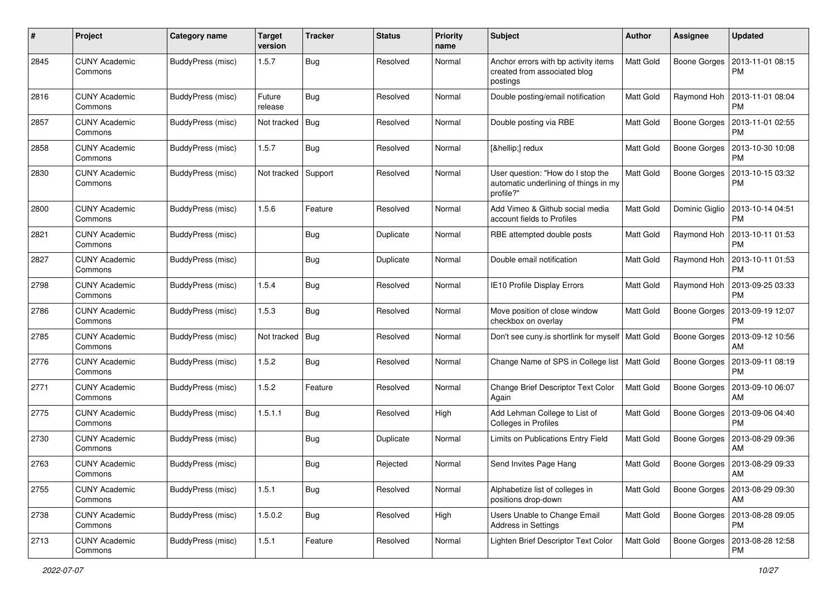| #    | Project                         | <b>Category name</b>     | <b>Target</b><br>version | <b>Tracker</b> | <b>Status</b> | <b>Priority</b><br>name | Subject                                                                                 | Author           | <b>Assignee</b> | <b>Updated</b>                |
|------|---------------------------------|--------------------------|--------------------------|----------------|---------------|-------------------------|-----------------------------------------------------------------------------------------|------------------|-----------------|-------------------------------|
| 2845 | <b>CUNY Academic</b><br>Commons | <b>BuddyPress (misc)</b> | 1.5.7                    | Bug            | Resolved      | Normal                  | Anchor errors with bp activity items<br>created from associated blog<br>postings        | Matt Gold        | Boone Gorges    | 2013-11-01 08:15<br><b>PM</b> |
| 2816 | <b>CUNY Academic</b><br>Commons | BuddyPress (misc)        | Future<br>release        | <b>Bug</b>     | Resolved      | Normal                  | Double posting/email notification                                                       | Matt Gold        | Raymond Hoh     | 2013-11-01 08:04<br><b>PM</b> |
| 2857 | <b>CUNY Academic</b><br>Commons | BuddyPress (misc)        | Not tracked              | <b>Bug</b>     | Resolved      | Normal                  | Double posting via RBE                                                                  | <b>Matt Gold</b> | Boone Gorges    | 2013-11-01 02:55<br><b>PM</b> |
| 2858 | <b>CUNY Academic</b><br>Commons | BuddyPress (misc)        | 1.5.7                    | Bug            | Resolved      | Normal                  | […] redux                                                                               | <b>Matt Gold</b> | Boone Gorges    | 2013-10-30 10:08<br>PM        |
| 2830 | <b>CUNY Academic</b><br>Commons | <b>BuddyPress</b> (misc) | Not tracked              | Support        | Resolved      | Normal                  | User question: "How do I stop the<br>automatic underlining of things in my<br>profile?" | <b>Matt Gold</b> | Boone Gorges    | 2013-10-15 03:32<br><b>PM</b> |
| 2800 | <b>CUNY Academic</b><br>Commons | <b>BuddyPress</b> (misc) | 1.5.6                    | Feature        | Resolved      | Normal                  | Add Vimeo & Github social media<br>account fields to Profiles                           | Matt Gold        | Dominic Giglio  | 2013-10-14 04:51<br>PM        |
| 2821 | <b>CUNY Academic</b><br>Commons | <b>BuddyPress</b> (misc) |                          | Bug            | Duplicate     | Normal                  | RBE attempted double posts                                                              | <b>Matt Gold</b> | Raymond Hoh     | 2013-10-11 01:53<br><b>PM</b> |
| 2827 | <b>CUNY Academic</b><br>Commons | BuddyPress (misc)        |                          | Bug            | Duplicate     | Normal                  | Double email notification                                                               | <b>Matt Gold</b> | Raymond Hoh     | 2013-10-11 01:53<br><b>PM</b> |
| 2798 | <b>CUNY Academic</b><br>Commons | BuddyPress (misc)        | 1.5.4                    | Bug            | Resolved      | Normal                  | IE10 Profile Display Errors                                                             | <b>Matt Gold</b> | Raymond Hoh     | 2013-09-25 03:33<br><b>PM</b> |
| 2786 | <b>CUNY Academic</b><br>Commons | <b>BuddyPress</b> (misc) | 1.5.3                    | Bug            | Resolved      | Normal                  | Move position of close window<br>checkbox on overlay                                    | Matt Gold        | Boone Gorges    | 2013-09-19 12:07<br><b>PM</b> |
| 2785 | <b>CUNY Academic</b><br>Commons | BuddyPress (misc)        | Not tracked              | Bug            | Resolved      | Normal                  | Don't see cuny is shortlink for myself   Matt Gold                                      |                  | Boone Gorges    | 2013-09-12 10:56<br>AM        |
| 2776 | <b>CUNY Academic</b><br>Commons | BuddyPress (misc)        | 1.5.2                    | Bug            | Resolved      | Normal                  | Change Name of SPS in College list   Matt Gold                                          |                  | Boone Gorges    | 2013-09-11 08:19<br>PM        |
| 2771 | <b>CUNY Academic</b><br>Commons | BuddyPress (misc)        | 1.5.2                    | Feature        | Resolved      | Normal                  | Change Brief Descriptor Text Color<br>Again                                             | <b>Matt Gold</b> | Boone Gorges    | 2013-09-10 06:07<br>AM        |
| 2775 | <b>CUNY Academic</b><br>Commons | <b>BuddyPress</b> (misc) | 1.5.1.1                  | Bug            | Resolved      | High                    | Add Lehman College to List of<br>Colleges in Profiles                                   | Matt Gold        | Boone Gorges    | 2013-09-06 04:40<br><b>PM</b> |
| 2730 | <b>CUNY Academic</b><br>Commons | BuddyPress (misc)        |                          | Bug            | Duplicate     | Normal                  | Limits on Publications Entry Field                                                      | Matt Gold        | Boone Gorges    | 2013-08-29 09:36<br>AM        |
| 2763 | <b>CUNY Academic</b><br>Commons | BuddyPress (misc)        |                          | Bug            | Rejected      | Normal                  | Send Invites Page Hang                                                                  | <b>Matt Gold</b> | Boone Gorges    | 2013-08-29 09:33<br>  AM      |
| 2755 | <b>CUNY Academic</b><br>Commons | BuddyPress (misc)        | 1.5.1                    | Bug            | Resolved      | Normal                  | Alphabetize list of colleges in<br>positions drop-down                                  | <b>Matt Gold</b> | Boone Gorges    | 2013-08-29 09:30<br>AM        |
| 2738 | <b>CUNY Academic</b><br>Commons | <b>BuddyPress (misc)</b> | 1.5.0.2                  | <b>Bug</b>     | Resolved      | High                    | Users Unable to Change Email<br>Address in Settings                                     | Matt Gold        | Boone Gorges    | 2013-08-28 09:05<br>PM        |
| 2713 | <b>CUNY Academic</b><br>Commons | <b>BuddyPress (misc)</b> | 1.5.1                    | Feature        | Resolved      | Normal                  | Lighten Brief Descriptor Text Color                                                     | Matt Gold        | Boone Gorges    | 2013-08-28 12:58<br><b>PM</b> |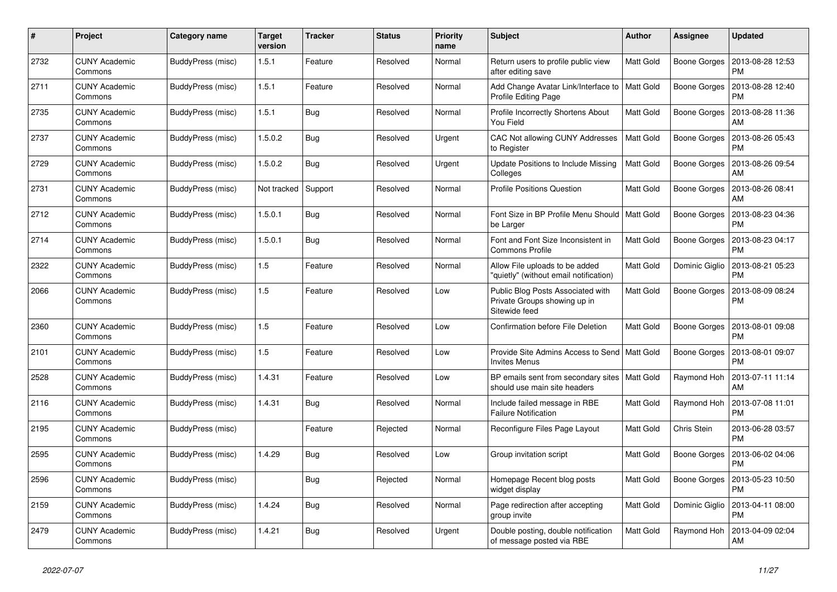| #    | Project                         | <b>Category name</b> | <b>Target</b><br>version | <b>Tracker</b> | <b>Status</b> | <b>Priority</b><br>name | <b>Subject</b>                                                                     | <b>Author</b>    | <b>Assignee</b> | <b>Updated</b>                |
|------|---------------------------------|----------------------|--------------------------|----------------|---------------|-------------------------|------------------------------------------------------------------------------------|------------------|-----------------|-------------------------------|
| 2732 | <b>CUNY Academic</b><br>Commons | BuddyPress (misc)    | 1.5.1                    | Feature        | Resolved      | Normal                  | Return users to profile public view<br>after editing save                          | <b>Matt Gold</b> | Boone Gorges    | 2013-08-28 12:53<br><b>PM</b> |
| 2711 | <b>CUNY Academic</b><br>Commons | BuddyPress (misc)    | 1.5.1                    | Feature        | Resolved      | Normal                  | Add Change Avatar Link/Interface to<br>Profile Editing Page                        | Matt Gold        | Boone Gorges    | 2013-08-28 12:40<br><b>PM</b> |
| 2735 | <b>CUNY Academic</b><br>Commons | BuddyPress (misc)    | 1.5.1                    | <b>Bug</b>     | Resolved      | Normal                  | Profile Incorrectly Shortens About<br>You Field                                    | <b>Matt Gold</b> | Boone Gorges    | 2013-08-28 11:36<br>AM        |
| 2737 | <b>CUNY Academic</b><br>Commons | BuddyPress (misc)    | 1.5.0.2                  | Bug            | Resolved      | Urgent                  | CAC Not allowing CUNY Addresses<br>to Register                                     | <b>Matt Gold</b> | Boone Gorges    | 2013-08-26 05:43<br><b>PM</b> |
| 2729 | <b>CUNY Academic</b><br>Commons | BuddyPress (misc)    | 1.5.0.2                  | Bug            | Resolved      | Urgent                  | Update Positions to Include Missing<br>Colleges                                    | Matt Gold        | Boone Gorges    | 2013-08-26 09:54<br>AM        |
| 2731 | <b>CUNY Academic</b><br>Commons | BuddyPress (misc)    | Not tracked              | Support        | Resolved      | Normal                  | <b>Profile Positions Question</b>                                                  | <b>Matt Gold</b> | Boone Gorges    | 2013-08-26 08:41<br>AM        |
| 2712 | <b>CUNY Academic</b><br>Commons | BuddyPress (misc)    | 1.5.0.1                  | Bug            | Resolved      | Normal                  | Font Size in BP Profile Menu Should   Matt Gold<br>be Larger                       |                  | Boone Gorges    | 2013-08-23 04:36<br><b>PM</b> |
| 2714 | <b>CUNY Academic</b><br>Commons | BuddyPress (misc)    | 1.5.0.1                  | Bug            | Resolved      | Normal                  | Font and Font Size Inconsistent in<br><b>Commons Profile</b>                       | <b>Matt Gold</b> | Boone Gorges    | 2013-08-23 04:17<br><b>PM</b> |
| 2322 | <b>CUNY Academic</b><br>Commons | BuddyPress (misc)    | 1.5                      | Feature        | Resolved      | Normal                  | Allow File uploads to be added<br>"quietly" (without email notification)           | <b>Matt Gold</b> | Dominic Giglio  | 2013-08-21 05:23<br><b>PM</b> |
| 2066 | <b>CUNY Academic</b><br>Commons | BuddyPress (misc)    | 1.5                      | Feature        | Resolved      | Low                     | Public Blog Posts Associated with<br>Private Groups showing up in<br>Sitewide feed | Matt Gold        | Boone Gorges    | 2013-08-09 08:24<br><b>PM</b> |
| 2360 | <b>CUNY Academic</b><br>Commons | BuddyPress (misc)    | 1.5                      | Feature        | Resolved      | Low                     | Confirmation before File Deletion                                                  | Matt Gold        | Boone Gorges    | 2013-08-01 09:08<br><b>PM</b> |
| 2101 | <b>CUNY Academic</b><br>Commons | BuddyPress (misc)    | $1.5$                    | Feature        | Resolved      | Low                     | Provide Site Admins Access to Send   Matt Gold<br><b>Invites Menus</b>             |                  | Boone Gorges    | 2013-08-01 09:07<br><b>PM</b> |
| 2528 | <b>CUNY Academic</b><br>Commons | BuddyPress (misc)    | 1.4.31                   | Feature        | Resolved      | Low                     | BP emails sent from secondary sites   Matt Gold<br>should use main site headers    |                  | Raymond Hoh     | 2013-07-11 11:14<br>AM        |
| 2116 | <b>CUNY Academic</b><br>Commons | BuddyPress (misc)    | 1.4.31                   | <b>Bug</b>     | Resolved      | Normal                  | Include failed message in RBE<br><b>Failure Notification</b>                       | Matt Gold        | Raymond Hoh     | 2013-07-08 11:01<br><b>PM</b> |
| 2195 | <b>CUNY Academic</b><br>Commons | BuddyPress (misc)    |                          | Feature        | Rejected      | Normal                  | Reconfigure Files Page Layout                                                      | <b>Matt Gold</b> | Chris Stein     | 2013-06-28 03:57<br><b>PM</b> |
| 2595 | <b>CUNY Academic</b><br>Commons | BuddyPress (misc)    | 1.4.29                   | <b>Bug</b>     | Resolved      | Low                     | Group invitation script                                                            | Matt Gold        | Boone Gorges    | 2013-06-02 04:06<br><b>PM</b> |
| 2596 | <b>CUNY Academic</b><br>Commons | BuddyPress (misc)    |                          | Bug            | Rejected      | Normal                  | Homepage Recent blog posts<br>widget display                                       | Matt Gold        | Boone Gorges    | 2013-05-23 10:50<br><b>PM</b> |
| 2159 | <b>CUNY Academic</b><br>Commons | BuddyPress (misc)    | 1.4.24                   | Bug            | Resolved      | Normal                  | Page redirection after accepting<br>group invite                                   | Matt Gold        | Dominic Giglio  | 2013-04-11 08:00<br><b>PM</b> |
| 2479 | <b>CUNY Academic</b><br>Commons | BuddyPress (misc)    | 1.4.21                   | Bug            | Resolved      | Urgent                  | Double posting, double notification<br>of message posted via RBE                   | <b>Matt Gold</b> | Raymond Hoh     | 2013-04-09 02:04<br>AM        |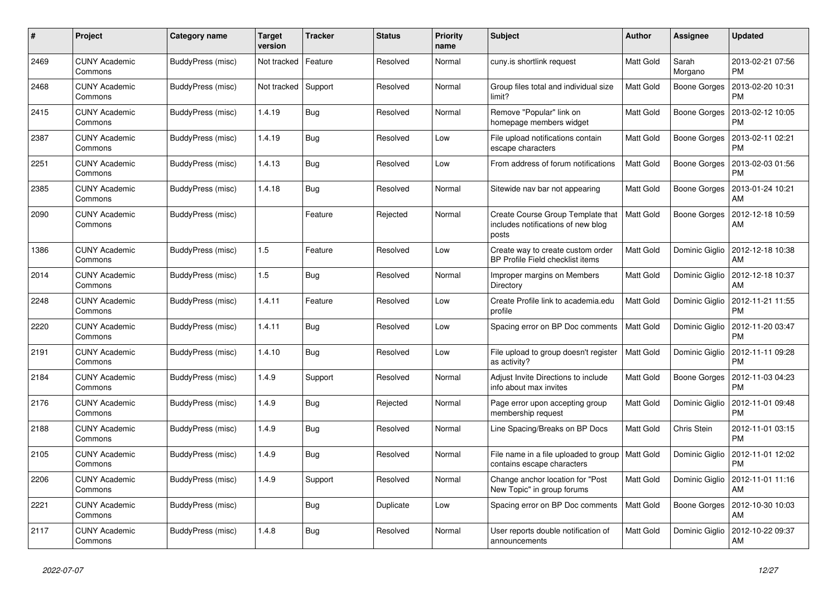| #    | Project                         | Category name            | <b>Target</b><br>version | <b>Tracker</b> | <b>Status</b> | <b>Priority</b><br>name | <b>Subject</b>                                                                   | <b>Author</b>    | <b>Assignee</b>     | <b>Updated</b>                |
|------|---------------------------------|--------------------------|--------------------------|----------------|---------------|-------------------------|----------------------------------------------------------------------------------|------------------|---------------------|-------------------------------|
| 2469 | <b>CUNY Academic</b><br>Commons | BuddyPress (misc)        | Not tracked              | Feature        | Resolved      | Normal                  | cuny.is shortlink request                                                        | Matt Gold        | Sarah<br>Morgano    | 2013-02-21 07:56<br><b>PM</b> |
| 2468 | <b>CUNY Academic</b><br>Commons | BuddyPress (misc)        | Not tracked              | Support        | Resolved      | Normal                  | Group files total and individual size<br>limit?                                  | Matt Gold        | <b>Boone Gorges</b> | 2013-02-20 10:31<br>PM        |
| 2415 | <b>CUNY Academic</b><br>Commons | BuddyPress (misc)        | 1.4.19                   | Bug            | Resolved      | Normal                  | Remove "Popular" link on<br>homepage members widget                              | Matt Gold        | Boone Gorges        | 2013-02-12 10:05<br>PM        |
| 2387 | <b>CUNY Academic</b><br>Commons | BuddyPress (misc)        | 1.4.19                   | Bug            | Resolved      | Low                     | File upload notifications contain<br>escape characters                           | Matt Gold        | Boone Gorges        | 2013-02-11 02:21<br>PM        |
| 2251 | <b>CUNY Academic</b><br>Commons | BuddyPress (misc)        | 1.4.13                   | Bug            | Resolved      | Low                     | From address of forum notifications                                              | Matt Gold        | Boone Gorges        | 2013-02-03 01:56<br><b>PM</b> |
| 2385 | <b>CUNY Academic</b><br>Commons | BuddyPress (misc)        | 1.4.18                   | Bug            | Resolved      | Normal                  | Sitewide nav bar not appearing                                                   | Matt Gold        | Boone Gorges        | 2013-01-24 10:21<br>AM        |
| 2090 | <b>CUNY Academic</b><br>Commons | BuddyPress (misc)        |                          | Feature        | Rejected      | Normal                  | Create Course Group Template that<br>includes notifications of new blog<br>posts | <b>Matt Gold</b> | Boone Gorges        | 2012-12-18 10:59<br>AM        |
| 1386 | <b>CUNY Academic</b><br>Commons | BuddyPress (misc)        | 1.5                      | Feature        | Resolved      | Low                     | Create way to create custom order<br>BP Profile Field checklist items            | Matt Gold        | Dominic Giglio      | 2012-12-18 10:38<br>AM        |
| 2014 | <b>CUNY Academic</b><br>Commons | BuddyPress (misc)        | 1.5                      | Bug            | Resolved      | Normal                  | Improper margins on Members<br>Directory                                         | Matt Gold        | Dominic Giglio      | 2012-12-18 10:37<br>AM        |
| 2248 | <b>CUNY Academic</b><br>Commons | BuddyPress (misc)        | 1.4.11                   | Feature        | Resolved      | Low                     | Create Profile link to academia.edu<br>profile                                   | Matt Gold        | Dominic Giglio      | 2012-11-21 11:55<br><b>PM</b> |
| 2220 | <b>CUNY Academic</b><br>Commons | BuddyPress (misc)        | 1.4.11                   | Bug            | Resolved      | Low                     | Spacing error on BP Doc comments                                                 | <b>Matt Gold</b> | Dominic Giglio      | 2012-11-20 03:47<br><b>PM</b> |
| 2191 | <b>CUNY Academic</b><br>Commons | BuddyPress (misc)        | 1.4.10                   | <b>Bug</b>     | Resolved      | Low                     | File upload to group doesn't register<br>as activity?                            | <b>Matt Gold</b> | Dominic Giglio      | 2012-11-11 09:28<br><b>PM</b> |
| 2184 | <b>CUNY Academic</b><br>Commons | BuddyPress (misc)        | 1.4.9                    | Support        | Resolved      | Normal                  | Adjust Invite Directions to include<br>info about max invites                    | Matt Gold        | Boone Gorges        | 2012-11-03 04:23<br><b>PM</b> |
| 2176 | <b>CUNY Academic</b><br>Commons | BuddyPress (misc)        | 1.4.9                    | <b>Bug</b>     | Rejected      | Normal                  | Page error upon accepting group<br>membership request                            | Matt Gold        | Dominic Giglio      | 2012-11-01 09:48<br><b>PM</b> |
| 2188 | <b>CUNY Academic</b><br>Commons | BuddyPress (misc)        | 1.4.9                    | <b>Bug</b>     | Resolved      | Normal                  | Line Spacing/Breaks on BP Docs                                                   | <b>Matt Gold</b> | Chris Stein         | 2012-11-01 03:15<br><b>PM</b> |
| 2105 | <b>CUNY Academic</b><br>Commons | BuddyPress (misc)        | 1.4.9                    | <b>Bug</b>     | Resolved      | Normal                  | File name in a file uploaded to group<br>contains escape characters              | <b>Matt Gold</b> | Dominic Giglio      | 2012-11-01 12:02<br><b>PM</b> |
| 2206 | <b>CUNY Academic</b><br>Commons | BuddyPress (misc)        | 1.4.9                    | Support        | Resolved      | Normal                  | Change anchor location for "Post"<br>New Topic" in group forums                  | Matt Gold        | Dominic Giglio      | 2012-11-01 11:16<br>AM        |
| 2221 | <b>CUNY Academic</b><br>Commons | BuddyPress (misc)        |                          | Bug            | Duplicate     | Low                     | Spacing error on BP Doc comments                                                 | <b>Matt Gold</b> | Boone Gorges        | 2012-10-30 10:03<br>AM        |
| 2117 | <b>CUNY Academic</b><br>Commons | <b>BuddyPress (misc)</b> | 1.4.8                    | Bug            | Resolved      | Normal                  | User reports double notification of<br>announcements                             | Matt Gold        | Dominic Giglio      | 2012-10-22 09:37<br>AM        |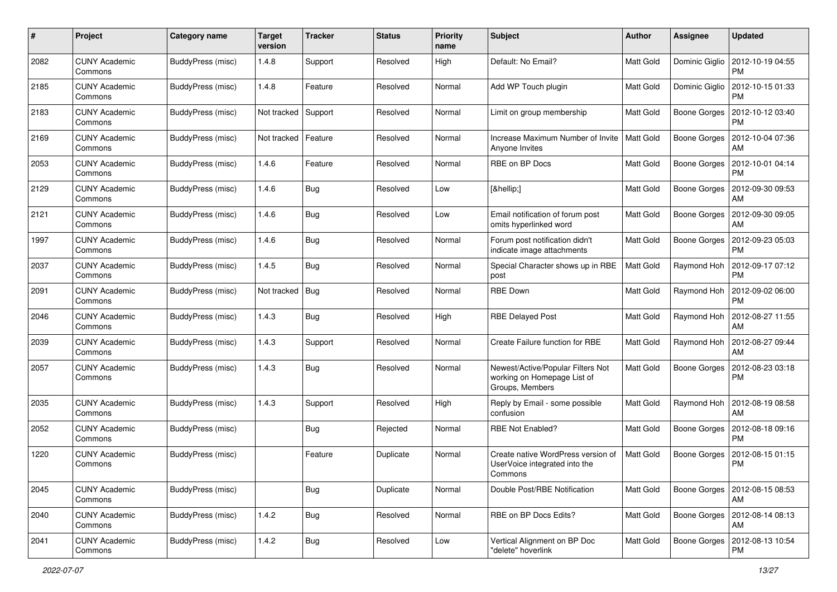| #    | Project                         | Category name            | <b>Target</b><br>version | <b>Tracker</b> | <b>Status</b> | <b>Priority</b><br>name | <b>Subject</b>                                                                      | Author           | <b>Assignee</b>     | <b>Updated</b>                        |
|------|---------------------------------|--------------------------|--------------------------|----------------|---------------|-------------------------|-------------------------------------------------------------------------------------|------------------|---------------------|---------------------------------------|
| 2082 | <b>CUNY Academic</b><br>Commons | BuddyPress (misc)        | 1.4.8                    | Support        | Resolved      | High                    | Default: No Email?                                                                  | Matt Gold        | Dominic Giglio      | 2012-10-19 04:55<br>PM                |
| 2185 | <b>CUNY Academic</b><br>Commons | BuddyPress (misc)        | 1.4.8                    | Feature        | Resolved      | Normal                  | Add WP Touch plugin                                                                 | Matt Gold        | Dominic Giglio      | 2012-10-15 01:33<br><b>PM</b>         |
| 2183 | CUNY Academic<br>Commons        | BuddyPress (misc)        | Not tracked              | Support        | Resolved      | Normal                  | Limit on group membership                                                           | <b>Matt Gold</b> | Boone Gorges        | 2012-10-12 03:40<br>PM                |
| 2169 | <b>CUNY Academic</b><br>Commons | <b>BuddyPress</b> (misc) | Not tracked              | Feature        | Resolved      | Normal                  | Increase Maximum Number of Invite<br>Anyone Invites                                 | Matt Gold        | <b>Boone Gorges</b> | 2012-10-04 07:36<br>AM                |
| 2053 | <b>CUNY Academic</b><br>Commons | BuddyPress (misc)        | 1.4.6                    | Feature        | Resolved      | Normal                  | <b>RBE on BP Docs</b>                                                               | <b>Matt Gold</b> | <b>Boone Gorges</b> | 2012-10-01 04:14<br><b>PM</b>         |
| 2129 | <b>CUNY Academic</b><br>Commons | BuddyPress (misc)        | 1.4.6                    | Bug            | Resolved      | Low                     | […]                                                                                 | Matt Gold        | Boone Gorges        | 2012-09-30 09:53<br>AM                |
| 2121 | <b>CUNY Academic</b><br>Commons | BuddyPress (misc)        | 1.4.6                    | Bug            | Resolved      | Low                     | Email notification of forum post<br>omits hyperlinked word                          | Matt Gold        | Boone Gorges        | 2012-09-30 09:05<br>AM                |
| 1997 | <b>CUNY Academic</b><br>Commons | <b>BuddyPress</b> (misc) | 1.4.6                    | Bug            | Resolved      | Normal                  | Forum post notification didn't<br>indicate image attachments                        | Matt Gold        | Boone Gorges        | 2012-09-23 05:03<br>PM                |
| 2037 | <b>CUNY Academic</b><br>Commons | BuddyPress (misc)        | 1.4.5                    | <b>Bug</b>     | Resolved      | Normal                  | Special Character shows up in RBE<br>post                                           | Matt Gold        | Raymond Hoh         | 2012-09-17 07:12<br><b>PM</b>         |
| 2091 | <b>CUNY Academic</b><br>Commons | BuddyPress (misc)        | Not tracked              | Bug            | Resolved      | Normal                  | <b>RBE Down</b>                                                                     | <b>Matt Gold</b> | Raymond Hoh         | 2012-09-02 06:00<br><b>PM</b>         |
| 2046 | <b>CUNY Academic</b><br>Commons | <b>BuddyPress</b> (misc) | 1.4.3                    | Bug            | Resolved      | High                    | <b>RBE Delayed Post</b>                                                             | <b>Matt Gold</b> | Raymond Hoh         | 2012-08-27 11:55<br>AM                |
| 2039 | <b>CUNY Academic</b><br>Commons | BuddyPress (misc)        | 1.4.3                    | Support        | Resolved      | Normal                  | Create Failure function for RBE                                                     | Matt Gold        | Raymond Hoh         | 2012-08-27 09:44<br>AM                |
| 2057 | <b>CUNY Academic</b><br>Commons | BuddyPress (misc)        | 1.4.3                    | Bug            | Resolved      | Normal                  | Newest/Active/Popular Filters Not<br>working on Homepage List of<br>Groups, Members | Matt Gold        | Boone Gorges        | 2012-08-23 03:18<br><b>PM</b>         |
| 2035 | <b>CUNY Academic</b><br>Commons | BuddyPress (misc)        | 1.4.3                    | Support        | Resolved      | High                    | Reply by Email - some possible<br>confusion                                         | <b>Matt Gold</b> | Raymond Hoh         | 2012-08-19 08:58<br>AM                |
| 2052 | <b>CUNY Academic</b><br>Commons | BuddyPress (misc)        |                          | Bug            | Rejected      | Normal                  | <b>RBE Not Enabled?</b>                                                             | Matt Gold        | Boone Gorges        | 2012-08-18 09:16<br><b>PM</b>         |
| 1220 | <b>CUNY Academic</b><br>Commons | <b>BuddyPress</b> (misc) |                          | Feature        | Duplicate     | Normal                  | Create native WordPress version of<br>UserVoice integrated into the<br>Commons      | <b>Matt Gold</b> | <b>Boone Gorges</b> | 2012-08-15 01:15<br>PM                |
| 2045 | <b>CUNY Academic</b><br>Commons | BuddyPress (misc)        |                          | Bug            | Duplicate     | Normal                  | Double Post/RBE Notification                                                        | Matt Gold        |                     | Boone Gorges   2012-08-15 08:53<br>AM |
| 2040 | <b>CUNY Academic</b><br>Commons | BuddyPress (misc)        | 1.4.2                    | <b>Bug</b>     | Resolved      | Normal                  | RBE on BP Docs Edits?                                                               | Matt Gold        |                     | Boone Gorges   2012-08-14 08:13<br>AM |
| 2041 | <b>CUNY Academic</b><br>Commons | BuddyPress (misc)        | 1.4.2                    | Bug            | Resolved      | Low                     | Vertical Alignment on BP Doc<br>"delete" hoverlink                                  | Matt Gold        |                     | Boone Gorges   2012-08-13 10:54<br>PM |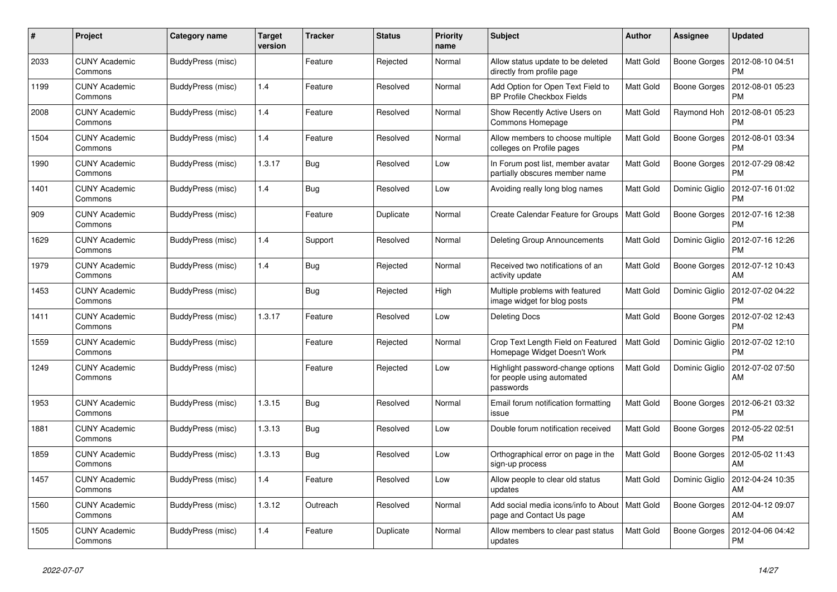| #    | Project                         | Category name     | <b>Target</b><br>version | <b>Tracker</b> | <b>Status</b> | <b>Priority</b><br>name | <b>Subject</b>                                                               | <b>Author</b>    | <b>Assignee</b> | <b>Updated</b>                |
|------|---------------------------------|-------------------|--------------------------|----------------|---------------|-------------------------|------------------------------------------------------------------------------|------------------|-----------------|-------------------------------|
| 2033 | <b>CUNY Academic</b><br>Commons | BuddyPress (misc) |                          | Feature        | Rejected      | Normal                  | Allow status update to be deleted<br>directly from profile page              | <b>Matt Gold</b> | Boone Gorges    | 2012-08-10 04:51<br><b>PM</b> |
| 1199 | <b>CUNY Academic</b><br>Commons | BuddyPress (misc) | 1.4                      | Feature        | Resolved      | Normal                  | Add Option for Open Text Field to<br><b>BP Profile Checkbox Fields</b>       | Matt Gold        | Boone Gorges    | 2012-08-01 05:23<br>PM        |
| 2008 | <b>CUNY Academic</b><br>Commons | BuddyPress (misc) | 1.4                      | Feature        | Resolved      | Normal                  | Show Recently Active Users on<br>Commons Homepage                            | Matt Gold        | Raymond Hoh     | 2012-08-01 05:23<br>PM        |
| 1504 | <b>CUNY Academic</b><br>Commons | BuddyPress (misc) | 1.4                      | Feature        | Resolved      | Normal                  | Allow members to choose multiple<br>colleges on Profile pages                | Matt Gold        | Boone Gorges    | 2012-08-01 03:34<br><b>PM</b> |
| 1990 | <b>CUNY Academic</b><br>Commons | BuddyPress (misc) | 1.3.17                   | Bug            | Resolved      | Low                     | In Forum post list, member avatar<br>partially obscures member name          | Matt Gold        | Boone Gorges    | 2012-07-29 08:42<br>PM        |
| 1401 | <b>CUNY Academic</b><br>Commons | BuddyPress (misc) | 1.4                      | <b>Bug</b>     | Resolved      | Low                     | Avoiding really long blog names                                              | Matt Gold        | Dominic Giglio  | 2012-07-16 01:02<br><b>PM</b> |
| 909  | <b>CUNY Academic</b><br>Commons | BuddyPress (misc) |                          | Feature        | Duplicate     | Normal                  | Create Calendar Feature for Groups                                           | Matt Gold        | Boone Gorges    | 2012-07-16 12:38<br><b>PM</b> |
| 1629 | <b>CUNY Academic</b><br>Commons | BuddyPress (misc) | 1.4                      | Support        | Resolved      | Normal                  | <b>Deleting Group Announcements</b>                                          | Matt Gold        | Dominic Giglio  | 2012-07-16 12:26<br><b>PM</b> |
| 1979 | <b>CUNY Academic</b><br>Commons | BuddyPress (misc) | 1.4                      | <b>Bug</b>     | Rejected      | Normal                  | Received two notifications of an<br>activity update                          | <b>Matt Gold</b> | Boone Gorges    | 2012-07-12 10:43<br>AM        |
| 1453 | <b>CUNY Academic</b><br>Commons | BuddyPress (misc) |                          | <b>Bug</b>     | Rejected      | High                    | Multiple problems with featured<br>image widget for blog posts               | Matt Gold        | Dominic Giglio  | 2012-07-02 04:22<br><b>PM</b> |
| 1411 | <b>CUNY Academic</b><br>Commons | BuddyPress (misc) | 1.3.17                   | Feature        | Resolved      | Low                     | <b>Deleting Docs</b>                                                         | Matt Gold        | Boone Gorges    | 2012-07-02 12:43<br>PM        |
| 1559 | <b>CUNY Academic</b><br>Commons | BuddyPress (misc) |                          | Feature        | Rejected      | Normal                  | Crop Text Length Field on Featured<br>Homepage Widget Doesn't Work           | <b>Matt Gold</b> | Dominic Giglio  | 2012-07-02 12:10<br><b>PM</b> |
| 1249 | <b>CUNY Academic</b><br>Commons | BuddyPress (misc) |                          | Feature        | Rejected      | Low                     | Highlight password-change options<br>for people using automated<br>passwords | Matt Gold        | Dominic Giglio  | 2012-07-02 07:50<br>AM        |
| 1953 | <b>CUNY Academic</b><br>Commons | BuddyPress (misc) | 1.3.15                   | Bug            | Resolved      | Normal                  | Email forum notification formatting<br>issue                                 | Matt Gold        | Boone Gorges    | 2012-06-21 03:32<br><b>PM</b> |
| 1881 | <b>CUNY Academic</b><br>Commons | BuddyPress (misc) | 1.3.13                   | <b>Bug</b>     | Resolved      | Low                     | Double forum notification received                                           | Matt Gold        | Boone Gorges    | 2012-05-22 02:51<br><b>PM</b> |
| 1859 | <b>CUNY Academic</b><br>Commons | BuddyPress (misc) | 1.3.13                   | <b>Bug</b>     | Resolved      | Low                     | Orthographical error on page in the<br>sign-up process                       | Matt Gold        | Boone Gorges    | 2012-05-02 11:43<br>AM        |
| 1457 | <b>CUNY Academic</b><br>Commons | BuddyPress (misc) | 1.4                      | Feature        | Resolved      | Low                     | Allow people to clear old status<br>updates                                  | Matt Gold        | Dominic Giglio  | 2012-04-24 10:35<br>AM        |
| 1560 | <b>CUNY Academic</b><br>Commons | BuddyPress (misc) | 1.3.12                   | Outreach       | Resolved      | Normal                  | Add social media icons/info to About   Matt Gold<br>page and Contact Us page |                  | Boone Gorges    | 2012-04-12 09:07<br>AM        |
| 1505 | <b>CUNY Academic</b><br>Commons | BuddyPress (misc) | 1.4                      | Feature        | Duplicate     | Normal                  | Allow members to clear past status<br>updates                                | Matt Gold        | Boone Gorges    | 2012-04-06 04:42<br><b>PM</b> |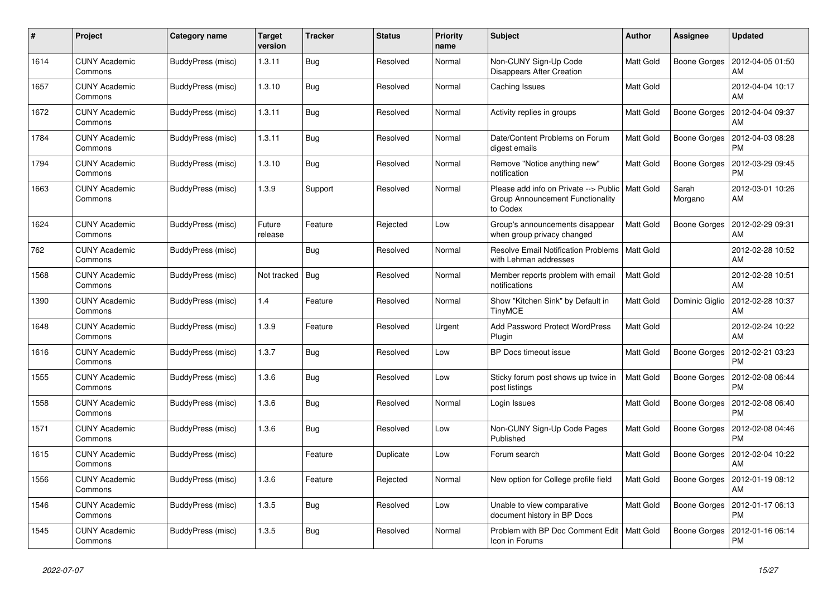| #    | Project                         | Category name     | <b>Target</b><br>version | <b>Tracker</b> | <b>Status</b> | <b>Priority</b><br>name | <b>Subject</b>                                                                        | <b>Author</b>    | <b>Assignee</b>     | <b>Updated</b>                        |
|------|---------------------------------|-------------------|--------------------------|----------------|---------------|-------------------------|---------------------------------------------------------------------------------------|------------------|---------------------|---------------------------------------|
| 1614 | <b>CUNY Academic</b><br>Commons | BuddyPress (misc) | 1.3.11                   | <b>Bug</b>     | Resolved      | Normal                  | Non-CUNY Sign-Up Code<br><b>Disappears After Creation</b>                             | <b>Matt Gold</b> |                     | Boone Gorges   2012-04-05 01:50<br>AM |
| 1657 | <b>CUNY Academic</b><br>Commons | BuddyPress (misc) | 1.3.10                   | <b>Bug</b>     | Resolved      | Normal                  | Caching Issues                                                                        | Matt Gold        |                     | 2012-04-04 10:17<br>AM                |
| 1672 | <b>CUNY Academic</b><br>Commons | BuddyPress (misc) | 1.3.11                   | Bug            | Resolved      | Normal                  | Activity replies in groups                                                            | Matt Gold        | Boone Gorges        | 2012-04-04 09:37<br>AM                |
| 1784 | <b>CUNY Academic</b><br>Commons | BuddyPress (misc) | 1.3.11                   | Bug            | Resolved      | Normal                  | Date/Content Problems on Forum<br>digest emails                                       | Matt Gold        | Boone Gorges        | 2012-04-03 08:28<br><b>PM</b>         |
| 1794 | <b>CUNY Academic</b><br>Commons | BuddyPress (misc) | 1.3.10                   | Bug            | Resolved      | Normal                  | Remove "Notice anything new"<br>notification                                          | Matt Gold        | Boone Gorges        | 2012-03-29 09:45<br><b>PM</b>         |
| 1663 | <b>CUNY Academic</b><br>Commons | BuddyPress (misc) | 1.3.9                    | Support        | Resolved      | Normal                  | Please add info on Private --> Public<br>Group Announcement Functionality<br>to Codex | <b>Matt Gold</b> | Sarah<br>Morgano    | 2012-03-01 10:26<br>AM                |
| 1624 | <b>CUNY Academic</b><br>Commons | BuddyPress (misc) | Future<br>release        | Feature        | Rejected      | Low                     | Group's announcements disappear<br>when group privacy changed                         | <b>Matt Gold</b> | Boone Gorges        | 2012-02-29 09:31<br>AM                |
| 762  | <b>CUNY Academic</b><br>Commons | BuddyPress (misc) |                          | <b>Bug</b>     | Resolved      | Normal                  | <b>Resolve Email Notification Problems</b><br>with Lehman addresses                   | Matt Gold        |                     | 2012-02-28 10:52<br>AM                |
| 1568 | <b>CUNY Academic</b><br>Commons | BuddyPress (misc) | Not tracked              | <b>Bug</b>     | Resolved      | Normal                  | Member reports problem with email<br>notifications                                    | <b>Matt Gold</b> |                     | 2012-02-28 10:51<br>AM                |
| 1390 | <b>CUNY Academic</b><br>Commons | BuddyPress (misc) | 1.4                      | Feature        | Resolved      | Normal                  | Show "Kitchen Sink" by Default in<br><b>TinyMCE</b>                                   | <b>Matt Gold</b> | Dominic Giglio      | 2012-02-28 10:37<br>AM                |
| 1648 | <b>CUNY Academic</b><br>Commons | BuddyPress (misc) | 1.3.9                    | Feature        | Resolved      | Urgent                  | Add Password Protect WordPress<br>Plugin                                              | Matt Gold        |                     | 2012-02-24 10:22<br>AM                |
| 1616 | <b>CUNY Academic</b><br>Commons | BuddyPress (misc) | 1.3.7                    | <b>Bug</b>     | Resolved      | Low                     | BP Docs timeout issue                                                                 | Matt Gold        | Boone Gorges        | 2012-02-21 03:23<br><b>PM</b>         |
| 1555 | <b>CUNY Academic</b><br>Commons | BuddyPress (misc) | 1.3.6                    | Bug            | Resolved      | Low                     | Sticky forum post shows up twice in<br>post listings                                  | Matt Gold        | Boone Gorges        | 2012-02-08 06:44<br><b>PM</b>         |
| 1558 | <b>CUNY Academic</b><br>Commons | BuddyPress (misc) | 1.3.6                    | <b>Bug</b>     | Resolved      | Normal                  | Login Issues                                                                          | Matt Gold        | Boone Gorges        | 2012-02-08 06:40<br><b>PM</b>         |
| 1571 | <b>CUNY Academic</b><br>Commons | BuddyPress (misc) | 1.3.6                    | <b>Bug</b>     | Resolved      | Low                     | Non-CUNY Sign-Up Code Pages<br>Published                                              | Matt Gold        | Boone Gorges        | 2012-02-08 04:46<br><b>PM</b>         |
| 1615 | <b>CUNY Academic</b><br>Commons | BuddyPress (misc) |                          | Feature        | Duplicate     | Low                     | Forum search                                                                          | <b>Matt Gold</b> | <b>Boone Gorges</b> | 2012-02-04 10:22<br>AM                |
| 1556 | <b>CUNY Academic</b><br>Commons | BuddyPress (misc) | 1.3.6                    | Feature        | Rejected      | Normal                  | New option for College profile field                                                  | Matt Gold        | Boone Gorges        | 2012-01-19 08:12<br>AM                |
| 1546 | <b>CUNY Academic</b><br>Commons | BuddyPress (misc) | 1.3.5                    | <b>Bug</b>     | Resolved      | Low                     | Unable to view comparative<br>document history in BP Docs                             | Matt Gold        | Boone Gorges        | 2012-01-17 06:13<br><b>PM</b>         |
| 1545 | <b>CUNY Academic</b><br>Commons | BuddyPress (misc) | 1.3.5                    | <b>Bug</b>     | Resolved      | Normal                  | Problem with BP Doc Comment Edit<br>Icon in Forums                                    | <b>Matt Gold</b> | Boone Gorges        | 2012-01-16 06:14<br><b>PM</b>         |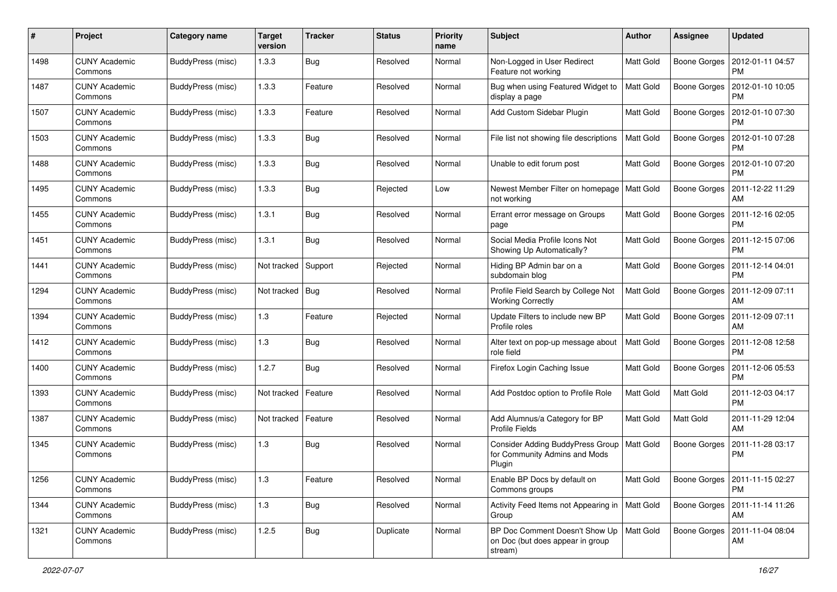| $\#$ | Project                         | <b>Category name</b>     | <b>Target</b><br>version | <b>Tracker</b> | <b>Status</b> | <b>Priority</b><br>name | Subject                                                                            | Author           | <b>Assignee</b>     | <b>Updated</b>                               |
|------|---------------------------------|--------------------------|--------------------------|----------------|---------------|-------------------------|------------------------------------------------------------------------------------|------------------|---------------------|----------------------------------------------|
| 1498 | <b>CUNY Academic</b><br>Commons | BuddyPress (misc)        | 1.3.3                    | <b>Bug</b>     | Resolved      | Normal                  | Non-Logged in User Redirect<br>Feature not working                                 | <b>Matt Gold</b> | Boone Gorges        | 2012-01-11 04:57<br><b>PM</b>                |
| 1487 | <b>CUNY Academic</b><br>Commons | BuddyPress (misc)        | 1.3.3                    | Feature        | Resolved      | Normal                  | Bug when using Featured Widget to<br>display a page                                | Matt Gold        | Boone Gorges        | 2012-01-10 10:05<br><b>PM</b>                |
| 1507 | <b>CUNY Academic</b><br>Commons | BuddyPress (misc)        | 1.3.3                    | Feature        | Resolved      | Normal                  | Add Custom Sidebar Plugin                                                          | Matt Gold        | Boone Gorges        | 2012-01-10 07:30<br><b>PM</b>                |
| 1503 | <b>CUNY Academic</b><br>Commons | <b>BuddyPress</b> (misc) | 1.3.3                    | Bug            | Resolved      | Normal                  | File list not showing file descriptions                                            | Matt Gold        | <b>Boone Gorges</b> | 2012-01-10 07:28<br><b>PM</b>                |
| 1488 | <b>CUNY Academic</b><br>Commons | BuddyPress (misc)        | 1.3.3                    | <b>Bug</b>     | Resolved      | Normal                  | Unable to edit forum post                                                          | <b>Matt Gold</b> | <b>Boone Gorges</b> | 2012-01-10 07:20<br><b>PM</b>                |
| 1495 | <b>CUNY Academic</b><br>Commons | BuddyPress (misc)        | 1.3.3                    | Bug            | Rejected      | Low                     | Newest Member Filter on homepage<br>not working                                    | Matt Gold        | Boone Gorges        | 2011-12-22 11:29<br>AM                       |
| 1455 | <b>CUNY Academic</b><br>Commons | <b>BuddyPress</b> (misc) | 1.3.1                    | Bug            | Resolved      | Normal                  | Errant error message on Groups<br>page                                             | Matt Gold        | Boone Gorges        | 2011-12-16 02:05<br>PM                       |
| 1451 | <b>CUNY Academic</b><br>Commons | BuddyPress (misc)        | 1.3.1                    | Bug            | Resolved      | Normal                  | Social Media Profile Icons Not<br>Showing Up Automatically?                        | Matt Gold        | Boone Gorges        | 2011-12-15 07:06<br>PM                       |
| 1441 | <b>CUNY Academic</b><br>Commons | BuddyPress (misc)        | Not tracked              | Support        | Rejected      | Normal                  | Hiding BP Admin bar on a<br>subdomain blog                                         | <b>Matt Gold</b> | Boone Gorges        | 2011-12-14 04:01<br><b>PM</b>                |
| 1294 | <b>CUNY Academic</b><br>Commons | BuddyPress (misc)        | Not tracked              | Bug            | Resolved      | Normal                  | Profile Field Search by College Not<br><b>Working Correctly</b>                    | Matt Gold        | <b>Boone Gorges</b> | 2011-12-09 07:11<br>AM                       |
| 1394 | <b>CUNY Academic</b><br>Commons | <b>BuddyPress</b> (misc) | 1.3                      | Feature        | Rejected      | Normal                  | Update Filters to include new BP<br>Profile roles                                  | <b>Matt Gold</b> | Boone Gorges        | 2011-12-09 07:11<br>AM                       |
| 1412 | <b>CUNY Academic</b><br>Commons | BuddyPress (misc)        | $1.3$                    | <b>Bug</b>     | Resolved      | Normal                  | Alter text on pop-up message about<br>role field                                   | Matt Gold        | Boone Gorges        | 2011-12-08 12:58<br><b>PM</b>                |
| 1400 | <b>CUNY Academic</b><br>Commons | BuddyPress (misc)        | 1.2.7                    | Bug            | Resolved      | Normal                  | Firefox Login Caching Issue                                                        | Matt Gold        | Boone Gorges        | 2011-12-06 05:53<br><b>PM</b>                |
| 1393 | <b>CUNY Academic</b><br>Commons | <b>BuddyPress</b> (misc) | Not tracked              | Feature        | Resolved      | Normal                  | Add Postdoc option to Profile Role                                                 | Matt Gold        | Matt Gold           | 2011-12-03 04:17<br><b>PM</b>                |
| 1387 | <b>CUNY Academic</b><br>Commons | BuddyPress (misc)        | Not tracked              | Feature        | Resolved      | Normal                  | Add Alumnus/a Category for BP<br><b>Profile Fields</b>                             | Matt Gold        | Matt Gold           | 2011-11-29 12:04<br>AM                       |
| 1345 | <b>CUNY Academic</b><br>Commons | <b>BuddyPress</b> (misc) | 1.3                      | <b>Bug</b>     | Resolved      | Normal                  | <b>Consider Adding BuddyPress Group</b><br>for Community Admins and Mods<br>Plugin | Matt Gold        | Boone Gorges        | 2011-11-28 03:17<br><b>PM</b>                |
| 1256 | <b>CUNY Academic</b><br>Commons | BuddyPress (misc)        | 1.3                      | Feature        | Resolved      | Normal                  | Enable BP Docs by default on<br>Commons groups                                     | Matt Gold        |                     | Boone Gorges   2011-11-15 02:27<br><b>PM</b> |
| 1344 | <b>CUNY Academic</b><br>Commons | BuddyPress (misc)        | 1.3                      | <b>Bug</b>     | Resolved      | Normal                  | Activity Feed Items not Appearing in<br>Group                                      | Matt Gold        |                     | Boone Gorges   2011-11-14 11:26<br>AM        |
| 1321 | <b>CUNY Academic</b><br>Commons | BuddyPress (misc)        | 1.2.5                    | <b>Bug</b>     | Duplicate     | Normal                  | BP Doc Comment Doesn't Show Up<br>on Doc (but does appear in group<br>stream)      | Matt Gold        | Boone Gorges        | 2011-11-04 08:04<br>AM                       |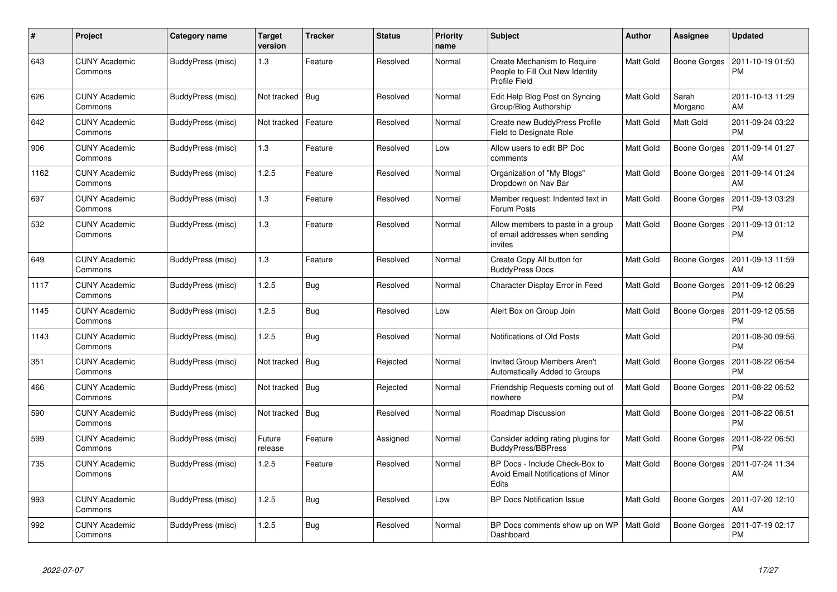| #    | Project                         | <b>Category name</b> | <b>Target</b><br>version | <b>Tracker</b> | <b>Status</b> | <b>Priority</b><br>name | <b>Subject</b>                                                                       | <b>Author</b>    | Assignee         | <b>Updated</b>                |
|------|---------------------------------|----------------------|--------------------------|----------------|---------------|-------------------------|--------------------------------------------------------------------------------------|------------------|------------------|-------------------------------|
| 643  | <b>CUNY Academic</b><br>Commons | BuddyPress (misc)    | 1.3                      | Feature        | Resolved      | Normal                  | Create Mechanism to Require<br>People to Fill Out New Identity<br>Profile Field      | Matt Gold        | Boone Gorges     | 2011-10-19 01:50<br><b>PM</b> |
| 626  | <b>CUNY Academic</b><br>Commons | BuddyPress (misc)    | Not tracked   Bug        |                | Resolved      | Normal                  | Edit Help Blog Post on Syncing<br>Group/Blog Authorship                              | Matt Gold        | Sarah<br>Morgano | 2011-10-13 11:29<br>AM        |
| 642  | <b>CUNY Academic</b><br>Commons | BuddyPress (misc)    | Not tracked              | Feature        | Resolved      | Normal                  | <b>Create new BuddyPress Profile</b><br><b>Field to Designate Role</b>               | Matt Gold        | Matt Gold        | 2011-09-24 03:22<br>PM        |
| 906  | <b>CUNY Academic</b><br>Commons | BuddyPress (misc)    | 1.3                      | Feature        | Resolved      | Low                     | Allow users to edit BP Doc<br>comments                                               | Matt Gold        | Boone Gorges     | 2011-09-14 01:27<br>AM        |
| 1162 | CUNY Academic<br>Commons        | BuddyPress (misc)    | 1.2.5                    | Feature        | Resolved      | Normal                  | Organization of "My Blogs"<br>Dropdown on Nav Bar                                    | Matt Gold        | Boone Gorges     | 2011-09-14 01:24<br>AM        |
| 697  | <b>CUNY Academic</b><br>Commons | BuddyPress (misc)    | 1.3                      | Feature        | Resolved      | Normal                  | Member request: Indented text in<br>Forum Posts                                      | <b>Matt Gold</b> | Boone Gorges     | 2011-09-13 03:29<br><b>PM</b> |
| 532  | CUNY Academic<br>Commons        | BuddyPress (misc)    | 1.3                      | Feature        | Resolved      | Normal                  | Allow members to paste in a group<br>of email addresses when sending<br>invites      | Matt Gold        | Boone Gorges     | 2011-09-13 01:12<br><b>PM</b> |
| 649  | <b>CUNY Academic</b><br>Commons | BuddyPress (misc)    | 1.3                      | Feature        | Resolved      | Normal                  | Create Copy All button for<br><b>BuddyPress Docs</b>                                 | <b>Matt Gold</b> | Boone Gorges     | 2011-09-13 11:59<br>AM        |
| 1117 | <b>CUNY Academic</b><br>Commons | BuddyPress (misc)    | 1.2.5                    | Bug            | Resolved      | Normal                  | Character Display Error in Feed                                                      | Matt Gold        | Boone Gorges     | 2011-09-12 06:29<br><b>PM</b> |
| 1145 | CUNY Academic<br>Commons        | BuddyPress (misc)    | 1.2.5                    | Bug            | Resolved      | Low                     | Alert Box on Group Join                                                              | Matt Gold        | Boone Gorges     | 2011-09-12 05:56<br><b>PM</b> |
| 1143 | <b>CUNY Academic</b><br>Commons | BuddyPress (misc)    | 1.2.5                    | <b>Bug</b>     | Resolved      | Normal                  | Notifications of Old Posts                                                           | Matt Gold        |                  | 2011-08-30 09:56<br><b>PM</b> |
| 351  | <b>CUNY Academic</b><br>Commons | BuddyPress (misc)    | Not tracked              | <b>Bug</b>     | Rejected      | Normal                  | <b>Invited Group Members Aren't</b><br>Automatically Added to Groups                 | Matt Gold        | Boone Gorges     | 2011-08-22 06:54<br><b>PM</b> |
| 466  | CUNY Academic<br>Commons        | BuddyPress (misc)    | Not tracked   Bug        |                | Rejected      | Normal                  | Friendship Requests coming out of<br>nowhere                                         | <b>Matt Gold</b> | Boone Gorges     | 2011-08-22 06:52<br><b>PM</b> |
| 590  | CUNY Academic<br>Commons        | BuddyPress (misc)    | Not tracked   Bug        |                | Resolved      | Normal                  | Roadmap Discussion                                                                   | Matt Gold        | Boone Gorges     | 2011-08-22 06:51<br><b>PM</b> |
| 599  | <b>CUNY Academic</b><br>Commons | BuddyPress (misc)    | Future<br>release        | Feature        | Assigned      | Normal                  | Consider adding rating plugins for<br><b>BuddyPress/BBPress</b>                      | Matt Gold        | Boone Gorges     | 2011-08-22 06:50<br><b>PM</b> |
| 735  | <b>CUNY Academic</b><br>Commons | BuddyPress (misc)    | 1.2.5                    | Feature        | Resolved      | Normal                  | BP Docs - Include Check-Box to<br>Avoid Email Notifications of Minor<br><b>Edits</b> | Matt Gold        | Boone Gorges     | 2011-07-24 11:34<br>AM        |
| 993  | <b>CUNY Academic</b><br>Commons | BuddyPress (misc)    | 1.2.5                    | Bug            | Resolved      | Low                     | <b>BP Docs Notification Issue</b>                                                    | Matt Gold        | Boone Gorges     | 2011-07-20 12:10<br>AM        |
| 992  | CUNY Academic<br>Commons        | BuddyPress (misc)    | 1.2.5                    | Bug            | Resolved      | Normal                  | BP Docs comments show up on WP<br>Dashboard                                          | <b>Matt Gold</b> | Boone Gorges     | 2011-07-19 02:17<br><b>PM</b> |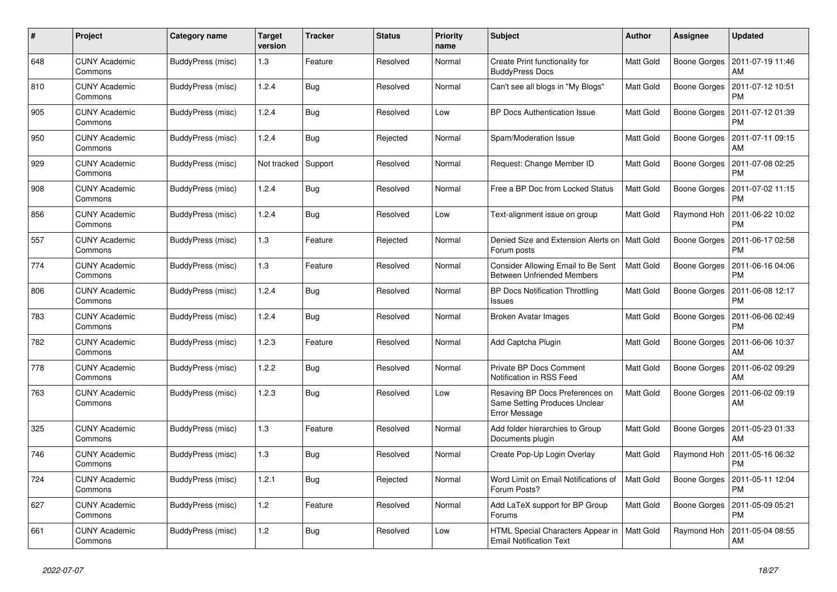| #   | Project                         | Category name     | <b>Target</b><br>version | <b>Tracker</b> | <b>Status</b> | <b>Priority</b><br>name | <b>Subject</b>                                                                    | <b>Author</b>    | <b>Assignee</b> | <b>Updated</b>                |
|-----|---------------------------------|-------------------|--------------------------|----------------|---------------|-------------------------|-----------------------------------------------------------------------------------|------------------|-----------------|-------------------------------|
| 648 | <b>CUNY Academic</b><br>Commons | BuddyPress (misc) | 1.3                      | Feature        | Resolved      | Normal                  | Create Print functionality for<br><b>BuddyPress Docs</b>                          | <b>Matt Gold</b> | Boone Gorges    | 2011-07-19 11:46<br>AM        |
| 810 | <b>CUNY Academic</b><br>Commons | BuddyPress (misc) | 1.2.4                    | <b>Bug</b>     | Resolved      | Normal                  | Can't see all blogs in "My Blogs"                                                 | Matt Gold        | Boone Gorges    | 2011-07-12 10:51<br><b>PM</b> |
| 905 | <b>CUNY Academic</b><br>Commons | BuddyPress (misc) | 1.2.4                    | Bug            | Resolved      | Low                     | <b>BP Docs Authentication Issue</b>                                               | Matt Gold        | Boone Gorges    | 2011-07-12 01:39<br><b>PM</b> |
| 950 | <b>CUNY Academic</b><br>Commons | BuddyPress (misc) | 1.2.4                    | Bug            | Rejected      | Normal                  | Spam/Moderation Issue                                                             | Matt Gold        | Boone Gorges    | 2011-07-11 09:15<br>AM        |
| 929 | <b>CUNY Academic</b><br>Commons | BuddyPress (misc) | Not tracked              | Support        | Resolved      | Normal                  | Request: Change Member ID                                                         | Matt Gold        | Boone Gorges    | 2011-07-08 02:25<br><b>PM</b> |
| 908 | <b>CUNY Academic</b><br>Commons | BuddyPress (misc) | 1.2.4                    | <b>Bug</b>     | Resolved      | Normal                  | Free a BP Doc from Locked Status                                                  | Matt Gold        | Boone Gorges    | 2011-07-02 11:15<br><b>PM</b> |
| 856 | <b>CUNY Academic</b><br>Commons | BuddyPress (misc) | 1.2.4                    | Bug            | Resolved      | Low                     | Text-alignment issue on group                                                     | Matt Gold        | Raymond Hoh     | 2011-06-22 10:02<br><b>PM</b> |
| 557 | <b>CUNY Academic</b><br>Commons | BuddyPress (misc) | 1.3                      | Feature        | Rejected      | Normal                  | Denied Size and Extension Alerts on<br>Forum posts                                | l Matt Gold      | Boone Gorges    | 2011-06-17 02:58<br><b>PM</b> |
| 774 | <b>CUNY Academic</b><br>Commons | BuddyPress (misc) | 1.3                      | Feature        | Resolved      | Normal                  | Consider Allowing Email to Be Sent<br><b>Between Unfriended Members</b>           | Matt Gold        | Boone Gorges    | 2011-06-16 04:06<br><b>PM</b> |
| 806 | <b>CUNY Academic</b><br>Commons | BuddyPress (misc) | 1.2.4                    | Bug            | Resolved      | Normal                  | <b>BP Docs Notification Throttling</b><br><b>Issues</b>                           | Matt Gold        | Boone Gorges    | 2011-06-08 12:17<br><b>PM</b> |
| 783 | <b>CUNY Academic</b><br>Commons | BuddyPress (misc) | 1.2.4                    | <b>Bug</b>     | Resolved      | Normal                  | Broken Avatar Images                                                              | Matt Gold        | Boone Gorges    | 2011-06-06 02:49<br>РM        |
| 782 | <b>CUNY Academic</b><br>Commons | BuddyPress (misc) | 1.2.3                    | Feature        | Resolved      | Normal                  | Add Captcha Plugin                                                                | Matt Gold        | Boone Gorges    | 2011-06-06 10:37<br>AM        |
| 778 | <b>CUNY Academic</b><br>Commons | BuddyPress (misc) | 1.2.2                    | Bug            | Resolved      | Normal                  | Private BP Docs Comment<br>Notification in RSS Feed                               | <b>Matt Gold</b> | Boone Gorges    | 2011-06-02 09:29<br>AM        |
| 763 | <b>CUNY Academic</b><br>Commons | BuddyPress (misc) | 1.2.3                    | Bug            | Resolved      | Low                     | Resaving BP Docs Preferences on<br>Same Setting Produces Unclear<br>Error Message | <b>Matt Gold</b> | Boone Gorges    | 2011-06-02 09:19<br>AM        |
| 325 | <b>CUNY Academic</b><br>Commons | BuddyPress (misc) | 1.3                      | Feature        | Resolved      | Normal                  | Add folder hierarchies to Group<br>Documents plugin                               | <b>Matt Gold</b> | Boone Gorges    | 2011-05-23 01:33<br>AM        |
| 746 | <b>CUNY Academic</b><br>Commons | BuddyPress (misc) | 1.3                      | <b>Bug</b>     | Resolved      | Normal                  | Create Pop-Up Login Overlay                                                       | Matt Gold        | Raymond Hoh     | 2011-05-16 06:32<br><b>PM</b> |
| 724 | <b>CUNY Academic</b><br>Commons | BuddyPress (misc) | 1.2.1                    | Bug            | Rejected      | Normal                  | Word Limit on Email Notifications of<br>Forum Posts?                              | <b>Matt Gold</b> | Boone Gorges    | 2011-05-11 12:04<br><b>PM</b> |
| 627 | <b>CUNY Academic</b><br>Commons | BuddyPress (misc) | 1.2                      | Feature        | Resolved      | Normal                  | Add LaTeX support for BP Group<br>Forums                                          | <b>Matt Gold</b> | Boone Gorges    | 2011-05-09 05:21<br><b>PM</b> |
| 661 | <b>CUNY Academic</b><br>Commons | BuddyPress (misc) | 1.2                      | <b>Bug</b>     | Resolved      | Low                     | HTML Special Characters Appear in<br><b>Email Notification Text</b>               | Matt Gold        | Raymond Hoh     | 2011-05-04 08:55<br>AM        |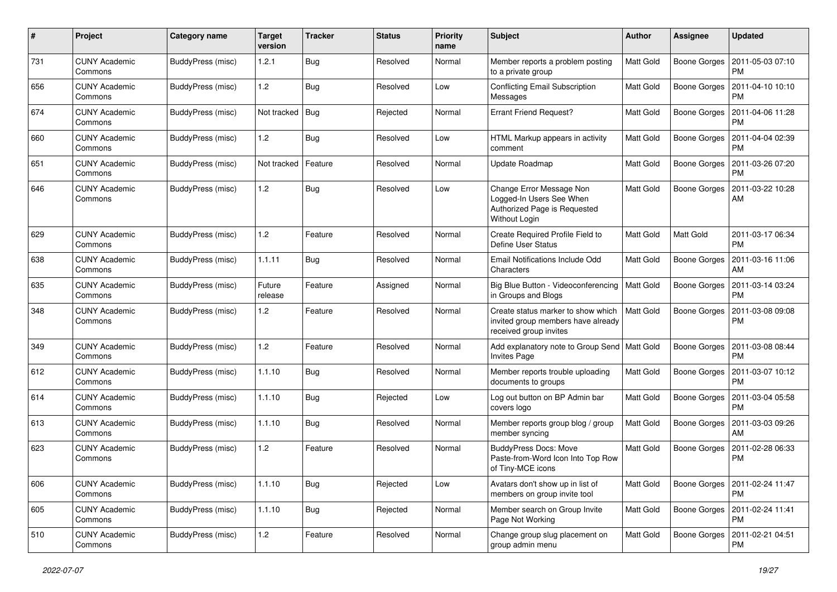| $\#$ | Project                         | <b>Category name</b>     | <b>Target</b><br>version | <b>Tracker</b> | <b>Status</b> | <b>Priority</b><br>name | Subject                                                                                               | Author           | <b>Assignee</b>     | <b>Updated</b>                               |
|------|---------------------------------|--------------------------|--------------------------|----------------|---------------|-------------------------|-------------------------------------------------------------------------------------------------------|------------------|---------------------|----------------------------------------------|
| 731  | <b>CUNY Academic</b><br>Commons | BuddyPress (misc)        | 1.2.1                    | <b>Bug</b>     | Resolved      | Normal                  | Member reports a problem posting<br>to a private group                                                | <b>Matt Gold</b> | Boone Gorges        | 2011-05-03 07:10<br><b>PM</b>                |
| 656  | <b>CUNY Academic</b><br>Commons | BuddyPress (misc)        | 1.2                      | Bug            | Resolved      | Low                     | <b>Conflicting Email Subscription</b><br>Messages                                                     | <b>Matt Gold</b> | Boone Gorges        | 2011-04-10 10:10<br><b>PM</b>                |
| 674  | <b>CUNY Academic</b><br>Commons | BuddyPress (misc)        | Not tracked              | <b>Bug</b>     | Rejected      | Normal                  | <b>Errant Friend Request?</b>                                                                         | Matt Gold        | Boone Gorges        | 2011-04-06 11:28<br><b>PM</b>                |
| 660  | <b>CUNY Academic</b><br>Commons | BuddyPress (misc)        | 1.2                      | <b>Bug</b>     | Resolved      | Low                     | HTML Markup appears in activity<br>comment                                                            | Matt Gold        | <b>Boone Gorges</b> | 2011-04-04 02:39<br><b>PM</b>                |
| 651  | <b>CUNY Academic</b><br>Commons | BuddyPress (misc)        | Not tracked              | Feature        | Resolved      | Normal                  | Update Roadmap                                                                                        | <b>Matt Gold</b> | Boone Gorges        | 2011-03-26 07:20<br><b>PM</b>                |
| 646  | <b>CUNY Academic</b><br>Commons | BuddyPress (misc)        | 1.2                      | Bug            | Resolved      | Low                     | Change Error Message Non<br>Logged-In Users See When<br>Authorized Page is Requested<br>Without Login | Matt Gold        | Boone Gorges        | 2011-03-22 10:28<br>AM                       |
| 629  | <b>CUNY Academic</b><br>Commons | BuddyPress (misc)        | 1.2                      | Feature        | Resolved      | Normal                  | Create Required Profile Field to<br>Define User Status                                                | <b>Matt Gold</b> | Matt Gold           | 2011-03-17 06:34<br>PM                       |
| 638  | <b>CUNY Academic</b><br>Commons | BuddyPress (misc)        | 1.1.11                   | Bug            | Resolved      | Normal                  | Email Notifications Include Odd<br>Characters                                                         | <b>Matt Gold</b> | Boone Gorges        | 2011-03-16 11:06<br>AM                       |
| 635  | <b>CUNY Academic</b><br>Commons | <b>BuddyPress (misc)</b> | Future<br>release        | Feature        | Assigned      | Normal                  | Big Blue Button - Videoconferencing   Matt Gold<br>in Groups and Blogs                                |                  | <b>Boone Gorges</b> | 2011-03-14 03:24<br>PM                       |
| 348  | <b>CUNY Academic</b><br>Commons | BuddyPress (misc)        | 1.2                      | Feature        | Resolved      | Normal                  | Create status marker to show which<br>invited group members have already<br>received group invites    | Matt Gold        | <b>Boone Gorges</b> | 2011-03-08 09:08<br><b>PM</b>                |
| 349  | <b>CUNY Academic</b><br>Commons | BuddyPress (misc)        | 1.2                      | Feature        | Resolved      | Normal                  | Add explanatory note to Group Send   Matt Gold<br><b>Invites Page</b>                                 |                  | Boone Gorges        | 2011-03-08 08:44<br><b>PM</b>                |
| 612  | <b>CUNY Academic</b><br>Commons | BuddyPress (misc)        | 1.1.10                   | Bug            | Resolved      | Normal                  | Member reports trouble uploading<br>documents to groups                                               | <b>Matt Gold</b> | Boone Gorges        | 2011-03-07 10:12<br><b>PM</b>                |
| 614  | <b>CUNY Academic</b><br>Commons | BuddyPress (misc)        | 1.1.10                   | Bug            | Rejected      | Low                     | Log out button on BP Admin bar<br>covers logo                                                         | Matt Gold        | <b>Boone Gorges</b> | 2011-03-04 05:58<br><b>PM</b>                |
| 613  | <b>CUNY Academic</b><br>Commons | BuddyPress (misc)        | 1.1.10                   | Bug            | Resolved      | Normal                  | Member reports group blog / group<br>member syncing                                                   | Matt Gold        | Boone Gorges        | 2011-03-03 09:26<br>AM                       |
| 623  | <b>CUNY Academic</b><br>Commons | BuddyPress (misc)        | 1.2                      | Feature        | Resolved      | Normal                  | <b>BuddyPress Docs: Move</b><br>Paste-from-Word Icon Into Top Row<br>of Tiny-MCE icons                | Matt Gold        | <b>Boone Gorges</b> | 2011-02-28 06:33<br><b>PM</b>                |
| 606  | <b>CUNY Academic</b><br>Commons | BuddyPress (misc)        | 1.1.10                   | <b>Bug</b>     | Rejected      | Low                     | Avatars don't show up in list of<br>members on group invite tool                                      | Matt Gold        |                     | Boone Gorges   2011-02-24 11:47<br>PM        |
| 605  | <b>CUNY Academic</b><br>Commons | BuddyPress (misc)        | 1.1.10                   | <b>Bug</b>     | Rejected      | Normal                  | Member search on Group Invite<br>Page Not Working                                                     | Matt Gold        |                     | Boone Gorges   2011-02-24 11:41<br><b>PM</b> |
| 510  | <b>CUNY Academic</b><br>Commons | BuddyPress (misc)        | 1.2                      | Feature        | Resolved      | Normal                  | Change group slug placement on<br>group admin menu                                                    | Matt Gold        |                     | Boone Gorges   2011-02-21 04:51<br><b>PM</b> |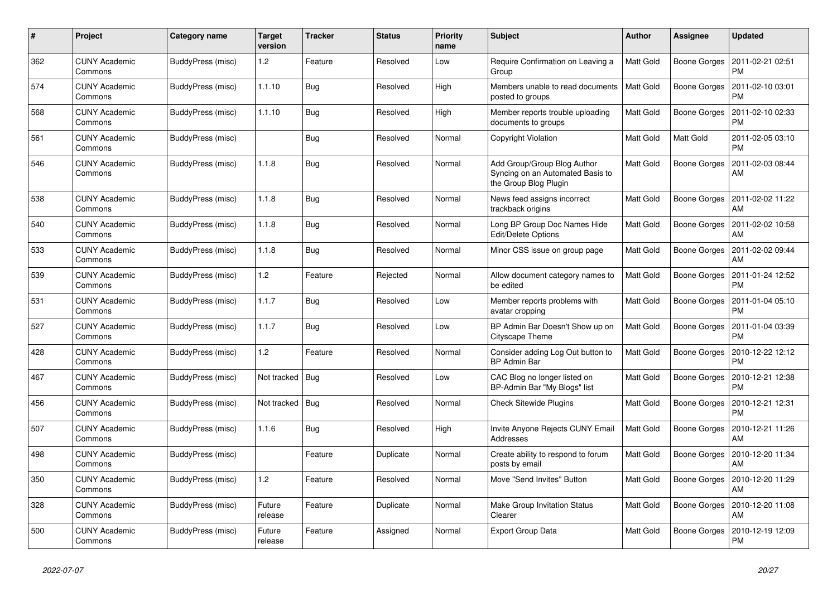| $\#$ | Project                         | Category name     | <b>Target</b><br>version | <b>Tracker</b> | <b>Status</b> | <b>Priority</b><br>name | <b>Subject</b>                                                                           | <b>Author</b>    | <b>Assignee</b> | <b>Updated</b>                |
|------|---------------------------------|-------------------|--------------------------|----------------|---------------|-------------------------|------------------------------------------------------------------------------------------|------------------|-----------------|-------------------------------|
| 362  | <b>CUNY Academic</b><br>Commons | BuddyPress (misc) | 1.2                      | Feature        | Resolved      | Low                     | Require Confirmation on Leaving a<br>Group                                               | <b>Matt Gold</b> | Boone Gorges    | 2011-02-21 02:51<br><b>PM</b> |
| 574  | <b>CUNY Academic</b><br>Commons | BuddyPress (misc) | 1.1.10                   | <b>Bug</b>     | Resolved      | High                    | Members unable to read documents<br>posted to groups                                     | Matt Gold        | Boone Gorges    | 2011-02-10 03:01<br><b>PM</b> |
| 568  | <b>CUNY Academic</b><br>Commons | BuddyPress (misc) | 1.1.10                   | Bug            | Resolved      | High                    | Member reports trouble uploading<br>documents to groups                                  | Matt Gold        | Boone Gorges    | 2011-02-10 02:33<br><b>PM</b> |
| 561  | <b>CUNY Academic</b><br>Commons | BuddyPress (misc) |                          | <b>Bug</b>     | Resolved      | Normal                  | <b>Copyright Violation</b>                                                               | Matt Gold        | Matt Gold       | 2011-02-05 03:10<br><b>PM</b> |
| 546  | <b>CUNY Academic</b><br>Commons | BuddyPress (misc) | 1.1.8                    | <b>Bug</b>     | Resolved      | Normal                  | Add Group/Group Blog Author<br>Syncing on an Automated Basis to<br>the Group Blog Plugin | Matt Gold        | Boone Gorges    | 2011-02-03 08:44<br>AM        |
| 538  | <b>CUNY Academic</b><br>Commons | BuddyPress (misc) | 1.1.8                    | Bug            | Resolved      | Normal                  | News feed assigns incorrect<br>trackback origins                                         | Matt Gold        | Boone Gorges    | 2011-02-02 11:22<br>AM        |
| 540  | <b>CUNY Academic</b><br>Commons | BuddyPress (misc) | 1.1.8                    | Bug            | Resolved      | Normal                  | Long BP Group Doc Names Hide<br>Edit/Delete Options                                      | <b>Matt Gold</b> | Boone Gorges    | 2011-02-02 10:58<br>AM        |
| 533  | <b>CUNY Academic</b><br>Commons | BuddyPress (misc) | 1.1.8                    | <b>Bug</b>     | Resolved      | Normal                  | Minor CSS issue on group page                                                            | Matt Gold        | Boone Gorges    | 2011-02-02 09:44<br>AM        |
| 539  | <b>CUNY Academic</b><br>Commons | BuddyPress (misc) | 1.2                      | Feature        | Rejected      | Normal                  | Allow document category names to<br>be edited                                            | Matt Gold        | Boone Gorges    | 2011-01-24 12:52<br><b>PM</b> |
| 531  | <b>CUNY Academic</b><br>Commons | BuddyPress (misc) | 1.1.7                    | <b>Bug</b>     | Resolved      | Low                     | Member reports problems with<br>avatar cropping                                          | Matt Gold        | Boone Gorges    | 2011-01-04 05:10<br><b>PM</b> |
| 527  | <b>CUNY Academic</b><br>Commons | BuddyPress (misc) | 1.1.7                    | <b>Bug</b>     | Resolved      | Low                     | BP Admin Bar Doesn't Show up on<br>Cityscape Theme                                       | Matt Gold        | Boone Gorges    | 2011-01-04 03:39<br><b>PM</b> |
| 428  | <b>CUNY Academic</b><br>Commons | BuddyPress (misc) | 1.2                      | Feature        | Resolved      | Normal                  | Consider adding Log Out button to<br><b>BP Admin Bar</b>                                 | <b>Matt Gold</b> | Boone Gorges    | 2010-12-22 12:12<br><b>PM</b> |
| 467  | <b>CUNY Academic</b><br>Commons | BuddyPress (misc) | Not tracked              | Bug            | Resolved      | Low                     | CAC Blog no longer listed on<br>BP-Admin Bar "My Blogs" list                             | Matt Gold        | Boone Gorges    | 2010-12-21 12:38<br><b>PM</b> |
| 456  | <b>CUNY Academic</b><br>Commons | BuddyPress (misc) | Not tracked              | Bug            | Resolved      | Normal                  | <b>Check Sitewide Plugins</b>                                                            | Matt Gold        | Boone Gorges    | 2010-12-21 12:31<br><b>PM</b> |
| 507  | <b>CUNY Academic</b><br>Commons | BuddyPress (misc) | 1.1.6                    | <b>Bug</b>     | Resolved      | High                    | Invite Anyone Rejects CUNY Email<br>Addresses                                            | Matt Gold        | Boone Gorges    | 2010-12-21 11:26<br>AM        |
| 498  | <b>CUNY Academic</b><br>Commons | BuddyPress (misc) |                          | Feature        | Duplicate     | Normal                  | Create ability to respond to forum<br>posts by email                                     | Matt Gold        | Boone Gorges    | 2010-12-20 11:34<br>AM        |
| 350  | <b>CUNY Academic</b><br>Commons | BuddyPress (misc) | 1.2                      | Feature        | Resolved      | Normal                  | Move "Send Invites" Button                                                               | Matt Gold        | Boone Gorges    | 2010-12-20 11:29<br>AM        |
| 328  | <b>CUNY Academic</b><br>Commons | BuddyPress (misc) | Future<br>release        | Feature        | Duplicate     | Normal                  | Make Group Invitation Status<br>Clearer                                                  | <b>Matt Gold</b> | Boone Gorges    | 2010-12-20 11:08<br>AM        |
| 500  | <b>CUNY Academic</b><br>Commons | BuddyPress (misc) | Future<br>release        | Feature        | Assigned      | Normal                  | <b>Export Group Data</b>                                                                 | Matt Gold        | Boone Gorges    | 2010-12-19 12:09<br><b>PM</b> |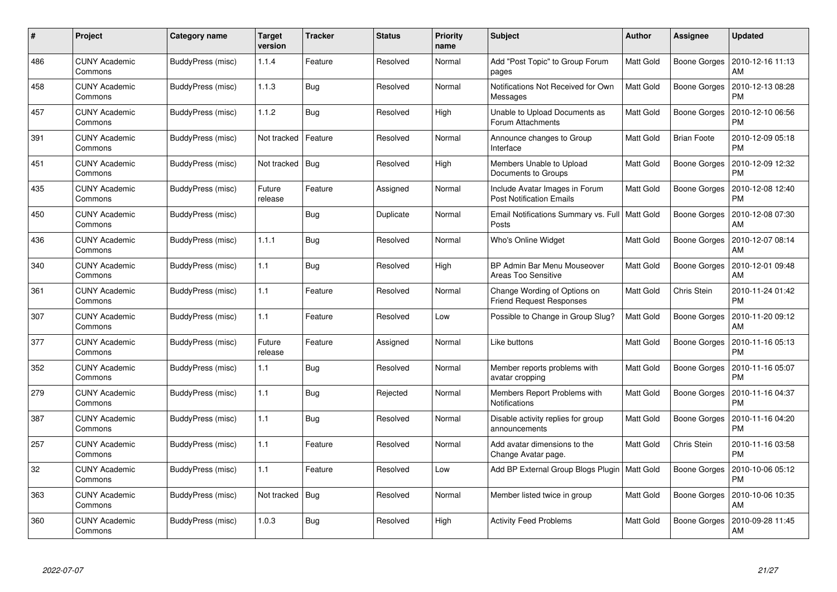| #   | Project                         | Category name     | <b>Target</b><br>version | Tracker    | <b>Status</b> | <b>Priority</b><br>name | <b>Subject</b>                                                    | <b>Author</b>    | <b>Assignee</b>     | <b>Updated</b>                |
|-----|---------------------------------|-------------------|--------------------------|------------|---------------|-------------------------|-------------------------------------------------------------------|------------------|---------------------|-------------------------------|
| 486 | <b>CUNY Academic</b><br>Commons | BuddyPress (misc) | 1.1.4                    | Feature    | Resolved      | Normal                  | Add "Post Topic" to Group Forum<br>pages                          | <b>Matt Gold</b> | Boone Gorges        | 2010-12-16 11:13<br>AM        |
| 458 | <b>CUNY Academic</b><br>Commons | BuddyPress (misc) | 1.1.3                    | Bug        | Resolved      | Normal                  | Notifications Not Received for Own<br>Messages                    | <b>Matt Gold</b> | Boone Gorges        | 2010-12-13 08:28<br><b>PM</b> |
| 457 | <b>CUNY Academic</b><br>Commons | BuddyPress (misc) | 1.1.2                    | Bug        | Resolved      | High                    | Unable to Upload Documents as<br>Forum Attachments                | Matt Gold        | Boone Gorges        | 2010-12-10 06:56<br>PM        |
| 391 | <b>CUNY Academic</b><br>Commons | BuddyPress (misc) | Not tracked              | Feature    | Resolved      | Normal                  | Announce changes to Group<br>Interface                            | Matt Gold        | <b>Brian Foote</b>  | 2010-12-09 05:18<br><b>PM</b> |
| 451 | <b>CUNY Academic</b><br>Commons | BuddyPress (misc) | Not tracked              | Bug        | Resolved      | High                    | Members Unable to Upload<br>Documents to Groups                   | Matt Gold        | <b>Boone Gorges</b> | 2010-12-09 12:32<br><b>PM</b> |
| 435 | <b>CUNY Academic</b><br>Commons | BuddyPress (misc) | Future<br>release        | Feature    | Assigned      | Normal                  | Include Avatar Images in Forum<br><b>Post Notification Emails</b> | Matt Gold        | Boone Gorges        | 2010-12-08 12:40<br><b>PM</b> |
| 450 | <b>CUNY Academic</b><br>Commons | BuddyPress (misc) |                          | <b>Bug</b> | Duplicate     | Normal                  | Email Notifications Summary vs. Full   Matt Gold<br>Posts         |                  | Boone Gorges        | 2010-12-08 07:30<br>AM        |
| 436 | <b>CUNY Academic</b><br>Commons | BuddyPress (misc) | 1.1.1                    | <b>Bug</b> | Resolved      | Normal                  | Who's Online Widget                                               | Matt Gold        | Boone Gorges        | 2010-12-07 08:14<br>AM        |
| 340 | <b>CUNY Academic</b><br>Commons | BuddyPress (misc) | 1.1                      | Bug        | Resolved      | High                    | BP Admin Bar Menu Mouseover<br><b>Areas Too Sensitive</b>         | <b>Matt Gold</b> | Boone Gorges        | 2010-12-01 09:48<br>AM        |
| 361 | <b>CUNY Academic</b><br>Commons | BuddyPress (misc) | 1.1                      | Feature    | Resolved      | Normal                  | Change Wording of Options on<br><b>Friend Request Responses</b>   | <b>Matt Gold</b> | Chris Stein         | 2010-11-24 01:42<br><b>PM</b> |
| 307 | <b>CUNY Academic</b><br>Commons | BuddyPress (misc) | 1.1                      | Feature    | Resolved      | Low                     | Possible to Change in Group Slug?                                 | Matt Gold        | Boone Gorges        | 2010-11-20 09:12<br>AM        |
| 377 | <b>CUNY Academic</b><br>Commons | BuddyPress (misc) | Future<br>release        | Feature    | Assigned      | Normal                  | Like buttons                                                      | Matt Gold        | Boone Gorges        | 2010-11-16 05:13<br><b>PM</b> |
| 352 | <b>CUNY Academic</b><br>Commons | BuddyPress (misc) | 1.1                      | <b>Bug</b> | Resolved      | Normal                  | Member reports problems with<br>avatar cropping                   | <b>Matt Gold</b> | Boone Gorges        | 2010-11-16 05:07<br><b>PM</b> |
| 279 | <b>CUNY Academic</b><br>Commons | BuddyPress (misc) | 1.1                      | <b>Bug</b> | Rejected      | Normal                  | Members Report Problems with<br><b>Notifications</b>              | Matt Gold        | Boone Gorges        | 2010-11-16 04:37<br><b>PM</b> |
| 387 | <b>CUNY Academic</b><br>Commons | BuddyPress (misc) | 1.1                      | <b>Bug</b> | Resolved      | Normal                  | Disable activity replies for group<br>announcements               | <b>Matt Gold</b> | Boone Gorges        | 2010-11-16 04:20<br><b>PM</b> |
| 257 | <b>CUNY Academic</b><br>Commons | BuddyPress (misc) | 1.1                      | Feature    | Resolved      | Normal                  | Add avatar dimensions to the<br>Change Avatar page.               | <b>Matt Gold</b> | Chris Stein         | 2010-11-16 03:58<br><b>PM</b> |
| 32  | <b>CUNY Academic</b><br>Commons | BuddyPress (misc) | 1.1                      | Feature    | Resolved      | Low                     | Add BP External Group Blogs Plugin                                | Matt Gold        | Boone Gorges        | 2010-10-06 05:12<br><b>PM</b> |
| 363 | <b>CUNY Academic</b><br>Commons | BuddyPress (misc) | Not tracked              | Bug        | Resolved      | Normal                  | Member listed twice in group                                      | Matt Gold        | Boone Gorges        | 2010-10-06 10:35<br>AM        |
| 360 | CUNY Academic<br>Commons        | BuddyPress (misc) | 1.0.3                    | <b>Bug</b> | Resolved      | High                    | <b>Activity Feed Problems</b>                                     | <b>Matt Gold</b> | Boone Gorges        | 2010-09-28 11:45<br>AM        |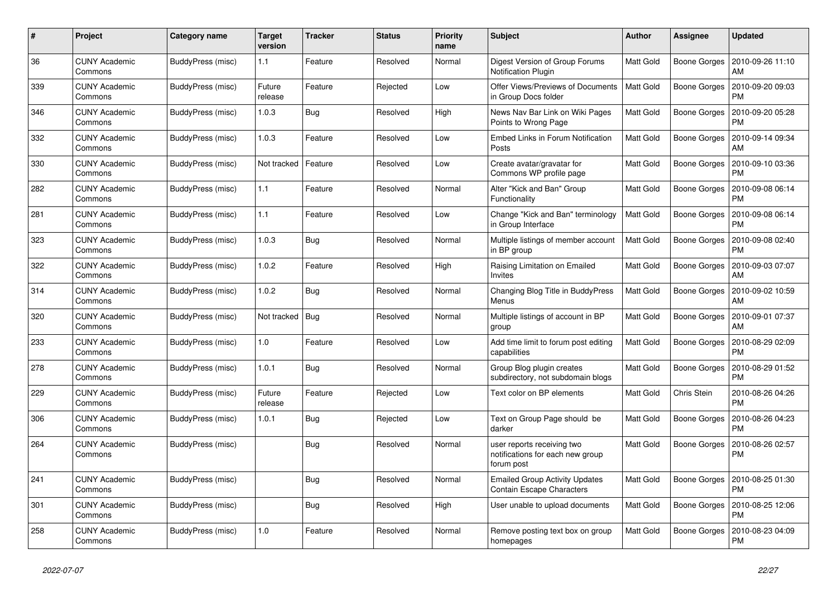| #   | Project                         | Category name     | <b>Target</b><br>version | <b>Tracker</b> | <b>Status</b> | <b>Priority</b><br>name | <b>Subject</b>                                                               | <b>Author</b>    | Assignee            | <b>Updated</b>                |
|-----|---------------------------------|-------------------|--------------------------|----------------|---------------|-------------------------|------------------------------------------------------------------------------|------------------|---------------------|-------------------------------|
| 36  | <b>CUNY Academic</b><br>Commons | BuddyPress (misc) | 1.1                      | Feature        | Resolved      | Normal                  | Digest Version of Group Forums<br>Notification Plugin                        | Matt Gold        | Boone Gorges        | 2010-09-26 11:10<br>AM        |
| 339 | <b>CUNY Academic</b><br>Commons | BuddyPress (misc) | Future<br>release        | Feature        | Rejected      | Low                     | Offer Views/Previews of Documents<br>in Group Docs folder                    | <b>Matt Gold</b> | <b>Boone Gorges</b> | 2010-09-20 09:03<br><b>PM</b> |
| 346 | CUNY Academic<br>Commons        | BuddyPress (misc) | 1.0.3                    | Bug            | Resolved      | High                    | News Nav Bar Link on Wiki Pages<br>Points to Wrong Page                      | Matt Gold        | Boone Gorges        | 2010-09-20 05:28<br>PM        |
| 332 | <b>CUNY Academic</b><br>Commons | BuddyPress (misc) | 1.0.3                    | Feature        | Resolved      | Low                     | Embed Links in Forum Notification<br>Posts                                   | Matt Gold        | Boone Gorges        | 2010-09-14 09:34<br>AM        |
| 330 | <b>CUNY Academic</b><br>Commons | BuddyPress (misc) | Not tracked              | Feature        | Resolved      | Low                     | Create avatar/gravatar for<br>Commons WP profile page                        | Matt Gold        | Boone Gorges        | 2010-09-10 03:36<br>PM        |
| 282 | <b>CUNY Academic</b><br>Commons | BuddyPress (misc) | 1.1                      | Feature        | Resolved      | Normal                  | Alter "Kick and Ban" Group<br>Functionality                                  | Matt Gold        | Boone Gorges        | 2010-09-08 06:14<br><b>PM</b> |
| 281 | <b>CUNY Academic</b><br>Commons | BuddyPress (misc) | 1.1                      | Feature        | Resolved      | Low                     | Change "Kick and Ban" terminology<br>in Group Interface                      | <b>Matt Gold</b> | Boone Gorges        | 2010-09-08 06:14<br><b>PM</b> |
| 323 | <b>CUNY Academic</b><br>Commons | BuddyPress (misc) | 1.0.3                    | Bug            | Resolved      | Normal                  | Multiple listings of member account<br>in BP group                           | Matt Gold        | Boone Gorges        | 2010-09-08 02:40<br><b>PM</b> |
| 322 | <b>CUNY Academic</b><br>Commons | BuddyPress (misc) | 1.0.2                    | Feature        | Resolved      | High                    | Raising Limitation on Emailed<br>Invites                                     | Matt Gold        | Boone Gorges        | 2010-09-03 07:07<br>AM        |
| 314 | <b>CUNY Academic</b><br>Commons | BuddyPress (misc) | 1.0.2                    | Bug            | Resolved      | Normal                  | Changing Blog Title in BuddyPress<br>Menus                                   | Matt Gold        | Boone Gorges        | 2010-09-02 10:59<br>AM        |
| 320 | <b>CUNY Academic</b><br>Commons | BuddyPress (misc) | Not tracked              | Bug            | Resolved      | Normal                  | Multiple listings of account in BP<br>group                                  | Matt Gold        | Boone Gorges        | 2010-09-01 07:37<br>AM        |
| 233 | <b>CUNY Academic</b><br>Commons | BuddyPress (misc) | 1.0                      | Feature        | Resolved      | Low                     | Add time limit to forum post editing<br>capabilities                         | Matt Gold        | Boone Gorges        | 2010-08-29 02:09<br><b>PM</b> |
| 278 | <b>CUNY Academic</b><br>Commons | BuddyPress (misc) | 1.0.1                    | Bug            | Resolved      | Normal                  | Group Blog plugin creates<br>subdirectory, not subdomain blogs               | Matt Gold        | Boone Gorges        | 2010-08-29 01:52<br><b>PM</b> |
| 229 | <b>CUNY Academic</b><br>Commons | BuddyPress (misc) | Future<br>release        | Feature        | Rejected      | Low                     | Text color on BP elements                                                    | Matt Gold        | Chris Stein         | 2010-08-26 04:26<br><b>PM</b> |
| 306 | <b>CUNY Academic</b><br>Commons | BuddyPress (misc) | 1.0.1                    | Bug            | Rejected      | Low                     | Text on Group Page should be<br>darker                                       | Matt Gold        | <b>Boone Gorges</b> | 2010-08-26 04:23<br><b>PM</b> |
| 264 | <b>CUNY Academic</b><br>Commons | BuddyPress (misc) |                          | Bug            | Resolved      | Normal                  | user reports receiving two<br>notifications for each new group<br>forum post | Matt Gold        | Boone Gorges        | 2010-08-26 02:57<br><b>PM</b> |
| 241 | <b>CUNY Academic</b><br>Commons | BuddyPress (misc) |                          | Bug            | Resolved      | Normal                  | <b>Emailed Group Activity Updates</b><br>Contain Escape Characters           | Matt Gold        | Boone Gorges        | 2010-08-25 01:30<br><b>PM</b> |
| 301 | <b>CUNY Academic</b><br>Commons | BuddyPress (misc) |                          | Bug            | Resolved      | High                    | User unable to upload documents                                              | <b>Matt Gold</b> | Boone Gorges        | 2010-08-25 12:06<br><b>PM</b> |
| 258 | <b>CUNY Academic</b><br>Commons | BuddyPress (misc) | 1.0                      | Feature        | Resolved      | Normal                  | Remove posting text box on group<br>homepages                                | Matt Gold        | <b>Boone Gorges</b> | 2010-08-23 04:09<br><b>PM</b> |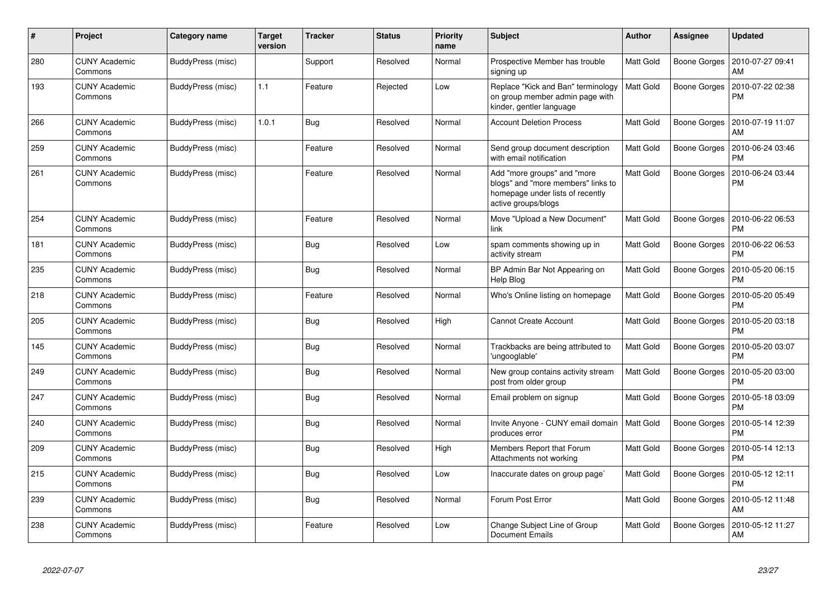| $\#$ | Project                         | Category name     | <b>Target</b><br>version | <b>Tracker</b> | <b>Status</b> | <b>Priority</b><br>name | <b>Subject</b>                                                                                                               | <b>Author</b>    | Assignee            | <b>Updated</b>                |
|------|---------------------------------|-------------------|--------------------------|----------------|---------------|-------------------------|------------------------------------------------------------------------------------------------------------------------------|------------------|---------------------|-------------------------------|
| 280  | <b>CUNY Academic</b><br>Commons | BuddyPress (misc) |                          | Support        | Resolved      | Normal                  | Prospective Member has trouble<br>signing up                                                                                 | <b>Matt Gold</b> | Boone Gorges        | 2010-07-27 09:41<br>AM        |
| 193  | CUNY Academic<br>Commons        | BuddyPress (misc) | 1.1                      | Feature        | Rejected      | Low                     | Replace "Kick and Ban" terminology<br>on group member admin page with<br>kinder, gentler language                            | <b>Matt Gold</b> | Boone Gorges        | 2010-07-22 02:38<br><b>PM</b> |
| 266  | <b>CUNY Academic</b><br>Commons | BuddyPress (misc) | 1.0.1                    | Bug            | Resolved      | Normal                  | <b>Account Deletion Process</b>                                                                                              | <b>Matt Gold</b> | Boone Gorges        | 2010-07-19 11:07<br>AM        |
| 259  | <b>CUNY Academic</b><br>Commons | BuddyPress (misc) |                          | Feature        | Resolved      | Normal                  | Send group document description<br>with email notification                                                                   | <b>Matt Gold</b> | Boone Gorges        | 2010-06-24 03:46<br><b>PM</b> |
| 261  | CUNY Academic<br>Commons        | BuddyPress (misc) |                          | Feature        | Resolved      | Normal                  | Add "more groups" and "more<br>blogs" and "more members" links to<br>homepage under lists of recently<br>active groups/blogs | Matt Gold        | Boone Gorges        | 2010-06-24 03:44<br><b>PM</b> |
| 254  | <b>CUNY Academic</b><br>Commons | BuddyPress (misc) |                          | Feature        | Resolved      | Normal                  | Move "Upload a New Document"<br>link                                                                                         | <b>Matt Gold</b> | Boone Gorges        | 2010-06-22 06:53<br><b>PM</b> |
| 181  | <b>CUNY Academic</b><br>Commons | BuddyPress (misc) |                          | Bug            | Resolved      | Low                     | spam comments showing up in<br>activity stream                                                                               | <b>Matt Gold</b> | Boone Gorges        | 2010-06-22 06:53<br><b>PM</b> |
| 235  | <b>CUNY Academic</b><br>Commons | BuddyPress (misc) |                          | Bug            | Resolved      | Normal                  | BP Admin Bar Not Appearing on<br>Help Blog                                                                                   | <b>Matt Gold</b> | <b>Boone Gorges</b> | 2010-05-20 06:15<br><b>PM</b> |
| 218  | <b>CUNY Academic</b><br>Commons | BuddyPress (misc) |                          | Feature        | Resolved      | Normal                  | Who's Online listing on homepage                                                                                             | <b>Matt Gold</b> | Boone Gorges        | 2010-05-20 05:49<br><b>PM</b> |
| 205  | <b>CUNY Academic</b><br>Commons | BuddyPress (misc) |                          | <b>Bug</b>     | Resolved      | High                    | <b>Cannot Create Account</b>                                                                                                 | Matt Gold        | Boone Gorges        | 2010-05-20 03:18<br><b>PM</b> |
| 145  | <b>CUNY Academic</b><br>Commons | BuddyPress (misc) |                          | <b>Bug</b>     | Resolved      | Normal                  | Trackbacks are being attributed to<br>'ungooglable'                                                                          | <b>Matt Gold</b> | Boone Gorges        | 2010-05-20 03:07<br><b>PM</b> |
| 249  | <b>CUNY Academic</b><br>Commons | BuddyPress (misc) |                          | <b>Bug</b>     | Resolved      | Normal                  | New group contains activity stream<br>post from older group                                                                  | Matt Gold        | Boone Gorges        | 2010-05-20 03:00<br><b>PM</b> |
| 247  | <b>CUNY Academic</b><br>Commons | BuddyPress (misc) |                          | Bug            | Resolved      | Normal                  | Email problem on signup                                                                                                      | Matt Gold        | Boone Gorges        | 2010-05-18 03:09<br><b>PM</b> |
| 240  | CUNY Academic<br>Commons        | BuddyPress (misc) |                          | Bug            | Resolved      | Normal                  | Invite Anyone - CUNY email domain<br>produces error                                                                          | Matt Gold        | Boone Gorges        | 2010-05-14 12:39<br><b>PM</b> |
| 209  | <b>CUNY Academic</b><br>Commons | BuddyPress (misc) |                          | <b>Bug</b>     | Resolved      | High                    | Members Report that Forum<br>Attachments not working                                                                         | Matt Gold        | Boone Gorges        | 2010-05-14 12:13<br><b>PM</b> |
| 215  | <b>CUNY Academic</b><br>Commons | BuddyPress (misc) |                          | Bug            | Resolved      | Low                     | Inaccurate dates on group page`                                                                                              | <b>Matt Gold</b> | Boone Gorges        | 2010-05-12 12:11<br><b>PM</b> |
| 239  | <b>CUNY Academic</b><br>Commons | BuddyPress (misc) |                          | Bug            | Resolved      | Normal                  | Forum Post Error                                                                                                             | <b>Matt Gold</b> | Boone Gorges        | 2010-05-12 11:48<br>AM        |
| 238  | CUNY Academic<br>Commons        | BuddyPress (misc) |                          | Feature        | Resolved      | Low                     | Change Subject Line of Group<br><b>Document Emails</b>                                                                       | <b>Matt Gold</b> | Boone Gorges        | 2010-05-12 11:27<br>AM        |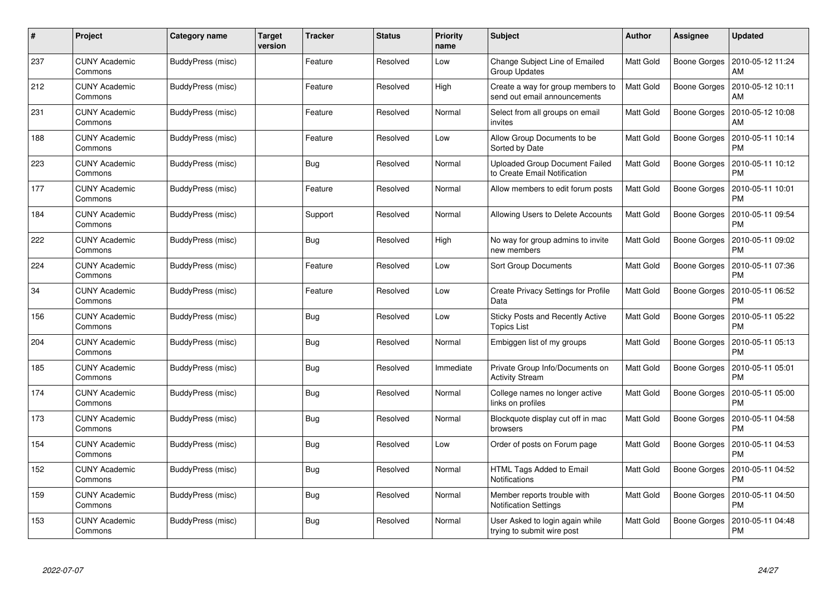| #   | Project                         | Category name            | <b>Target</b><br>version | Tracker    | <b>Status</b> | <b>Priority</b><br>name | <b>Subject</b>                                                        | <b>Author</b>    | Assignee     | <b>Updated</b>                |
|-----|---------------------------------|--------------------------|--------------------------|------------|---------------|-------------------------|-----------------------------------------------------------------------|------------------|--------------|-------------------------------|
| 237 | <b>CUNY Academic</b><br>Commons | BuddyPress (misc)        |                          | Feature    | Resolved      | Low                     | <b>Change Subject Line of Emailed</b><br><b>Group Updates</b>         | Matt Gold        | Boone Gorges | 2010-05-12 11:24<br>AM        |
| 212 | <b>CUNY Academic</b><br>Commons | BuddyPress (misc)        |                          | Feature    | Resolved      | High                    | Create a way for group members to<br>send out email announcements     | <b>Matt Gold</b> | Boone Gorges | 2010-05-12 10:11<br>AM        |
| 231 | <b>CUNY Academic</b><br>Commons | BuddyPress (misc)        |                          | Feature    | Resolved      | Normal                  | Select from all groups on email<br>invites                            | Matt Gold        | Boone Gorges | 2010-05-12 10:08<br>AM        |
| 188 | <b>CUNY Academic</b><br>Commons | BuddyPress (misc)        |                          | Feature    | Resolved      | Low                     | Allow Group Documents to be<br>Sorted by Date                         | Matt Gold        | Boone Gorges | 2010-05-11 10:14<br>PM        |
| 223 | <b>CUNY Academic</b><br>Commons | BuddyPress (misc)        |                          | Bug        | Resolved      | Normal                  | <b>Uploaded Group Document Failed</b><br>to Create Email Notification | Matt Gold        | Boone Gorges | 2010-05-11 10:12<br>PM        |
| 177 | <b>CUNY Academic</b><br>Commons | <b>BuddyPress (misc)</b> |                          | Feature    | Resolved      | Normal                  | Allow members to edit forum posts                                     | Matt Gold        | Boone Gorges | 2010-05-11 10:01<br>PM        |
| 184 | <b>CUNY Academic</b><br>Commons | BuddyPress (misc)        |                          | Support    | Resolved      | Normal                  | Allowing Users to Delete Accounts                                     | Matt Gold        | Boone Gorges | 2010-05-11 09:54<br><b>PM</b> |
| 222 | <b>CUNY Academic</b><br>Commons | BuddyPress (misc)        |                          | Bug        | Resolved      | High                    | No way for group admins to invite<br>new members                      | Matt Gold        | Boone Gorges | 2010-05-11 09:02<br><b>PM</b> |
| 224 | <b>CUNY Academic</b><br>Commons | BuddyPress (misc)        |                          | Feature    | Resolved      | Low                     | <b>Sort Group Documents</b>                                           | Matt Gold        | Boone Gorges | 2010-05-11 07:36<br>PM        |
| 34  | <b>CUNY Academic</b><br>Commons | BuddyPress (misc)        |                          | Feature    | Resolved      | Low                     | <b>Create Privacy Settings for Profile</b><br>Data                    | Matt Gold        | Boone Gorges | 2010-05-11 06:52<br>РM        |
| 156 | <b>CUNY Academic</b><br>Commons | BuddyPress (misc)        |                          | <b>Bug</b> | Resolved      | Low                     | <b>Sticky Posts and Recently Active</b><br><b>Topics List</b>         | Matt Gold        | Boone Gorges | 2010-05-11 05:22<br>РM        |
| 204 | <b>CUNY Academic</b><br>Commons | BuddyPress (misc)        |                          | Bug        | Resolved      | Normal                  | Embiggen list of my groups                                            | Matt Gold        | Boone Gorges | 2010-05-11 05:13<br>PM        |
| 185 | <b>CUNY Academic</b><br>Commons | BuddyPress (misc)        |                          | Bug        | Resolved      | Immediate               | Private Group Info/Documents on<br><b>Activity Stream</b>             | Matt Gold        | Boone Gorges | 2010-05-11 05:01<br><b>PM</b> |
| 174 | <b>CUNY Academic</b><br>Commons | BuddyPress (misc)        |                          | <b>Bug</b> | Resolved      | Normal                  | College names no longer active<br>links on profiles                   | Matt Gold        | Boone Gorges | 2010-05-11 05:00<br>PM        |
| 173 | <b>CUNY Academic</b><br>Commons | BuddyPress (misc)        |                          | Bug        | Resolved      | Normal                  | Blockquote display cut off in mac<br>browsers                         | Matt Gold        | Boone Gorges | 2010-05-11 04:58<br>PM        |
| 154 | <b>CUNY Academic</b><br>Commons | BuddyPress (misc)        |                          | Bug        | Resolved      | Low                     | Order of posts on Forum page                                          | Matt Gold        | Boone Gorges | 2010-05-11 04:53<br>PM        |
| 152 | <b>CUNY Academic</b><br>Commons | BuddyPress (misc)        |                          | Bug        | Resolved      | Normal                  | HTML Tags Added to Email<br><b>Notifications</b>                      | Matt Gold        | Boone Gorges | 2010-05-11 04:52<br><b>PM</b> |
| 159 | <b>CUNY Academic</b><br>Commons | BuddyPress (misc)        |                          | Bug        | Resolved      | Normal                  | Member reports trouble with<br><b>Notification Settings</b>           | Matt Gold        | Boone Gorges | 2010-05-11 04:50<br>PM        |
| 153 | CUNY Academic<br>Commons        | BuddyPress (misc)        |                          | Bug        | Resolved      | Normal                  | User Asked to login again while<br>trying to submit wire post         | Matt Gold        | Boone Gorges | 2010-05-11 04:48<br>PM        |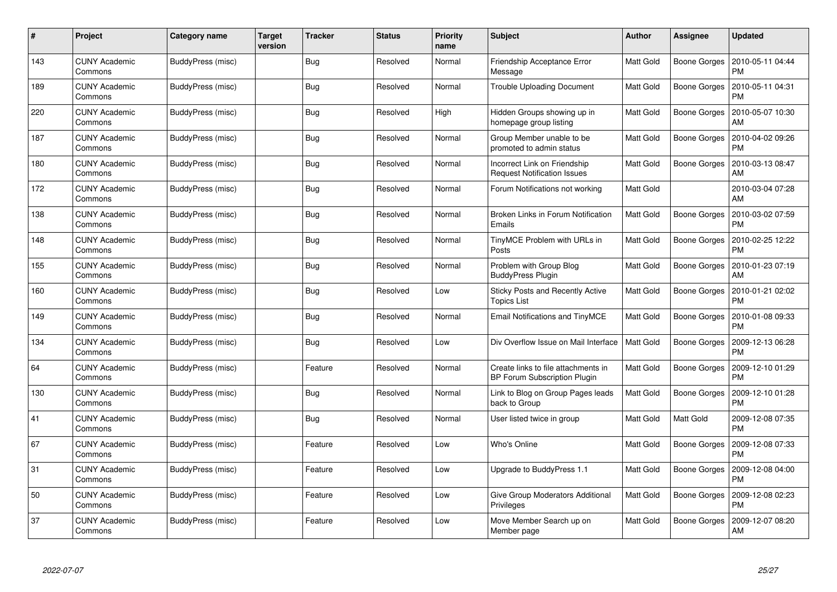| #   | Project                         | Category name     | <b>Target</b><br>version | Tracker    | <b>Status</b> | <b>Priority</b><br>name | <b>Subject</b>                                                             | <b>Author</b>    | <b>Assignee</b>     | <b>Updated</b>                |
|-----|---------------------------------|-------------------|--------------------------|------------|---------------|-------------------------|----------------------------------------------------------------------------|------------------|---------------------|-------------------------------|
| 143 | <b>CUNY Academic</b><br>Commons | BuddyPress (misc) |                          | <b>Bug</b> | Resolved      | Normal                  | Friendship Acceptance Error<br>Message                                     | <b>Matt Gold</b> | Boone Gorges        | 2010-05-11 04:44<br><b>PM</b> |
| 189 | <b>CUNY Academic</b><br>Commons | BuddyPress (misc) |                          | <b>Bug</b> | Resolved      | Normal                  | <b>Trouble Uploading Document</b>                                          | <b>Matt Gold</b> | Boone Gorges        | 2010-05-11 04:31<br><b>PM</b> |
| 220 | <b>CUNY Academic</b><br>Commons | BuddyPress (misc) |                          | Bug        | Resolved      | High                    | Hidden Groups showing up in<br>homepage group listing                      | <b>Matt Gold</b> | Boone Gorges        | 2010-05-07 10:30<br>AM        |
| 187 | <b>CUNY Academic</b><br>Commons | BuddyPress (misc) |                          | <b>Bug</b> | Resolved      | Normal                  | Group Member unable to be<br>promoted to admin status                      | Matt Gold        | Boone Gorges        | 2010-04-02 09:26<br>PM        |
| 180 | <b>CUNY Academic</b><br>Commons | BuddyPress (misc) |                          | <b>Bug</b> | Resolved      | Normal                  | Incorrect Link on Friendship<br><b>Request Notification Issues</b>         | <b>Matt Gold</b> | Boone Gorges        | 2010-03-13 08:47<br>AM        |
| 172 | <b>CUNY Academic</b><br>Commons | BuddyPress (misc) |                          | Bug        | Resolved      | Normal                  | Forum Notifications not working                                            | Matt Gold        |                     | 2010-03-04 07:28<br>AM        |
| 138 | <b>CUNY Academic</b><br>Commons | BuddyPress (misc) |                          | <b>Bug</b> | Resolved      | Normal                  | Broken Links in Forum Notification<br>Emails                               | <b>Matt Gold</b> | Boone Gorges        | 2010-03-02 07:59<br><b>PM</b> |
| 148 | <b>CUNY Academic</b><br>Commons | BuddyPress (misc) |                          | Bug        | Resolved      | Normal                  | TinyMCE Problem with URLs in<br>Posts                                      | Matt Gold        | Boone Gorges        | 2010-02-25 12:22<br><b>PM</b> |
| 155 | <b>CUNY Academic</b><br>Commons | BuddyPress (misc) |                          | Bug        | Resolved      | Normal                  | Problem with Group Blog<br><b>BuddyPress Plugin</b>                        | Matt Gold        | Boone Gorges        | 2010-01-23 07:19<br>AM        |
| 160 | <b>CUNY Academic</b><br>Commons | BuddyPress (misc) |                          | <b>Bug</b> | Resolved      | Low                     | <b>Sticky Posts and Recently Active</b><br><b>Topics List</b>              | Matt Gold        | <b>Boone Gorges</b> | 2010-01-21 02:02<br><b>PM</b> |
| 149 | <b>CUNY Academic</b><br>Commons | BuddyPress (misc) |                          | Bug        | Resolved      | Normal                  | Email Notifications and TinyMCE                                            | <b>Matt Gold</b> | Boone Gorges        | 2010-01-08 09:33<br><b>PM</b> |
| 134 | <b>CUNY Academic</b><br>Commons | BuddyPress (misc) |                          | <b>Bug</b> | Resolved      | Low                     | Div Overflow Issue on Mail Interface                                       | <b>Matt Gold</b> | Boone Gorges        | 2009-12-13 06:28<br>PM        |
| 64  | <b>CUNY Academic</b><br>Commons | BuddyPress (misc) |                          | Feature    | Resolved      | Normal                  | Create links to file attachments in<br><b>BP Forum Subscription Plugin</b> | Matt Gold        | Boone Gorges        | 2009-12-10 01:29<br><b>PM</b> |
| 130 | <b>CUNY Academic</b><br>Commons | BuddyPress (misc) |                          | <b>Bug</b> | Resolved      | Normal                  | Link to Blog on Group Pages leads<br>back to Group                         | Matt Gold        | Boone Gorges        | 2009-12-10 01:28<br>PM        |
| 41  | <b>CUNY Academic</b><br>Commons | BuddyPress (misc) |                          | Bug        | Resolved      | Normal                  | User listed twice in group                                                 | Matt Gold        | Matt Gold           | 2009-12-08 07:35<br><b>PM</b> |
| 67  | <b>CUNY Academic</b><br>Commons | BuddyPress (misc) |                          | Feature    | Resolved      | Low                     | Who's Online                                                               | Matt Gold        | Boone Gorges        | 2009-12-08 07:33<br><b>PM</b> |
| 31  | <b>CUNY Academic</b><br>Commons | BuddyPress (misc) |                          | Feature    | Resolved      | Low                     | Upgrade to BuddyPress 1.1                                                  | Matt Gold        | Boone Gorges        | 2009-12-08 04:00<br><b>PM</b> |
| 50  | <b>CUNY Academic</b><br>Commons | BuddyPress (misc) |                          | Feature    | Resolved      | Low                     | Give Group Moderators Additional<br>Privileges                             | <b>Matt Gold</b> | Boone Gorges        | 2009-12-08 02:23<br><b>PM</b> |
| 37  | CUNY Academic<br>Commons        | BuddyPress (misc) |                          | Feature    | Resolved      | Low                     | Move Member Search up on<br>Member page                                    | Matt Gold        | Boone Gorges        | 2009-12-07 08:20<br>AM        |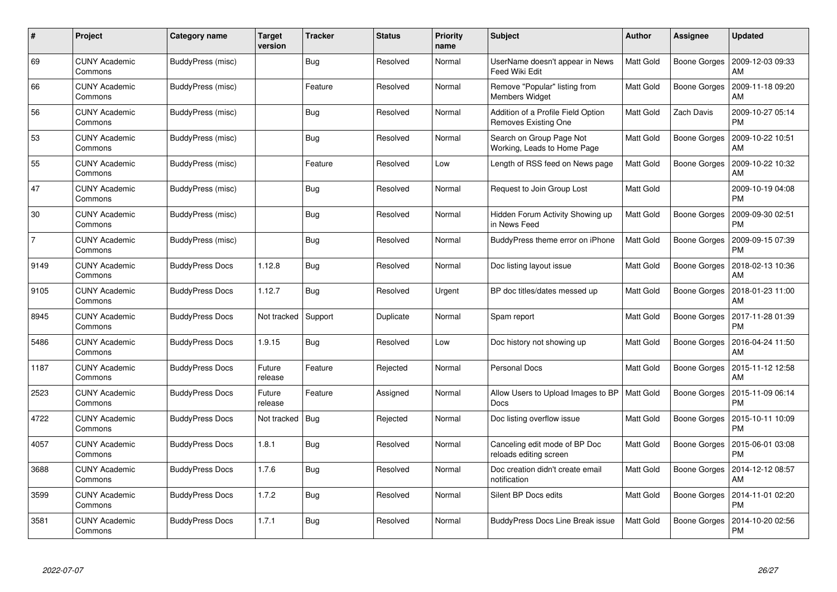| #              | Project                         | Category name          | <b>Target</b><br>version | Tracker    | <b>Status</b> | <b>Priority</b><br>name | <b>Subject</b>                                             | <b>Author</b>    | <b>Assignee</b>     | <b>Updated</b>                |
|----------------|---------------------------------|------------------------|--------------------------|------------|---------------|-------------------------|------------------------------------------------------------|------------------|---------------------|-------------------------------|
| 69             | <b>CUNY Academic</b><br>Commons | BuddyPress (misc)      |                          | <b>Bug</b> | Resolved      | Normal                  | UserName doesn't appear in News<br><b>Feed Wiki Edit</b>   | Matt Gold        | <b>Boone Gorges</b> | 2009-12-03 09:33<br>AM        |
| 66             | <b>CUNY Academic</b><br>Commons | BuddyPress (misc)      |                          | Feature    | Resolved      | Normal                  | Remove "Popular" listing from<br><b>Members Widget</b>     | Matt Gold        | Boone Gorges        | 2009-11-18 09:20<br>AM        |
| 56             | <b>CUNY Academic</b><br>Commons | BuddyPress (misc)      |                          | <b>Bug</b> | Resolved      | Normal                  | Addition of a Profile Field Option<br>Removes Existing One | <b>Matt Gold</b> | Zach Davis          | 2009-10-27 05:14<br><b>PM</b> |
| 53             | <b>CUNY Academic</b><br>Commons | BuddyPress (misc)      |                          | <b>Bug</b> | Resolved      | Normal                  | Search on Group Page Not<br>Working, Leads to Home Page    | Matt Gold        | Boone Gorges        | 2009-10-22 10:51<br>AM        |
| 55             | <b>CUNY Academic</b><br>Commons | BuddyPress (misc)      |                          | Feature    | Resolved      | Low                     | Length of RSS feed on News page                            | Matt Gold        | <b>Boone Gorges</b> | 2009-10-22 10:32<br>AM        |
| 47             | <b>CUNY Academic</b><br>Commons | BuddyPress (misc)      |                          | Bug        | Resolved      | Normal                  | Request to Join Group Lost                                 | Matt Gold        |                     | 2009-10-19 04:08<br><b>PM</b> |
| 30             | <b>CUNY Academic</b><br>Commons | BuddyPress (misc)      |                          | Bug        | Resolved      | Normal                  | Hidden Forum Activity Showing up<br>in News Feed           | Matt Gold        | <b>Boone Gorges</b> | 2009-09-30 02:51<br><b>PM</b> |
| $\overline{7}$ | <b>CUNY Academic</b><br>Commons | BuddyPress (misc)      |                          | Bug        | Resolved      | Normal                  | BuddyPress theme error on iPhone                           | Matt Gold        | Boone Gorges        | 2009-09-15 07:39<br><b>PM</b> |
| 9149           | <b>CUNY Academic</b><br>Commons | <b>BuddyPress Docs</b> | 1.12.8                   | Bug        | Resolved      | Normal                  | Doc listing layout issue                                   | <b>Matt Gold</b> | Boone Gorges        | 2018-02-13 10:36<br>AM        |
| 9105           | <b>CUNY Academic</b><br>Commons | <b>BuddyPress Docs</b> | 1.12.7                   | <b>Bug</b> | Resolved      | Urgent                  | BP doc titles/dates messed up                              | Matt Gold        | Boone Gorges        | 2018-01-23 11:00<br>AM        |
| 8945           | <b>CUNY Academic</b><br>Commons | <b>BuddyPress Docs</b> | Not tracked              | Support    | Duplicate     | Normal                  | Spam report                                                | <b>Matt Gold</b> | Boone Gorges        | 2017-11-28 01:39<br><b>PM</b> |
| 5486           | <b>CUNY Academic</b><br>Commons | <b>BuddyPress Docs</b> | 1.9.15                   | <b>Bug</b> | Resolved      | Low                     | Doc history not showing up                                 | Matt Gold        | Boone Gorges        | 2016-04-24 11:50<br>AM        |
| 1187           | <b>CUNY Academic</b><br>Commons | <b>BuddyPress Docs</b> | Future<br>release        | Feature    | Rejected      | Normal                  | <b>Personal Docs</b>                                       | <b>Matt Gold</b> | Boone Gorges        | 2015-11-12 12:58<br>AM        |
| 2523           | <b>CUNY Academic</b><br>Commons | <b>BuddyPress Docs</b> | Future<br>release        | Feature    | Assigned      | Normal                  | Allow Users to Upload Images to BP<br>Docs                 | <b>Matt Gold</b> | Boone Gorges        | 2015-11-09 06:14<br>PM        |
| 4722           | <b>CUNY Academic</b><br>Commons | <b>BuddyPress Docs</b> | Not tracked              | <b>Bug</b> | Rejected      | Normal                  | Doc listing overflow issue                                 | <b>Matt Gold</b> | Boone Gorges        | 2015-10-11 10:09<br><b>PM</b> |
| 4057           | <b>CUNY Academic</b><br>Commons | <b>BuddyPress Docs</b> | 1.8.1                    | Bug        | Resolved      | Normal                  | Canceling edit mode of BP Doc<br>reloads editing screen    | Matt Gold        | <b>Boone Gorges</b> | 2015-06-01 03:08<br><b>PM</b> |
| 3688           | <b>CUNY Academic</b><br>Commons | <b>BuddyPress Docs</b> | 1.7.6                    | Bug        | Resolved      | Normal                  | Doc creation didn't create email<br>notification           | Matt Gold        | Boone Gorges        | 2014-12-12 08:57<br>AM        |
| 3599           | <b>CUNY Academic</b><br>Commons | <b>BuddyPress Docs</b> | 1.7.2                    | <b>Bug</b> | Resolved      | Normal                  | Silent BP Docs edits                                       | Matt Gold        | Boone Gorges        | 2014-11-01 02:20<br><b>PM</b> |
| 3581           | CUNY Academic<br>Commons        | <b>BuddyPress Docs</b> | 1.7.1                    | <b>Bug</b> | Resolved      | Normal                  | BuddyPress Docs Line Break issue                           | Matt Gold        | Boone Gorges        | 2014-10-20 02:56<br><b>PM</b> |